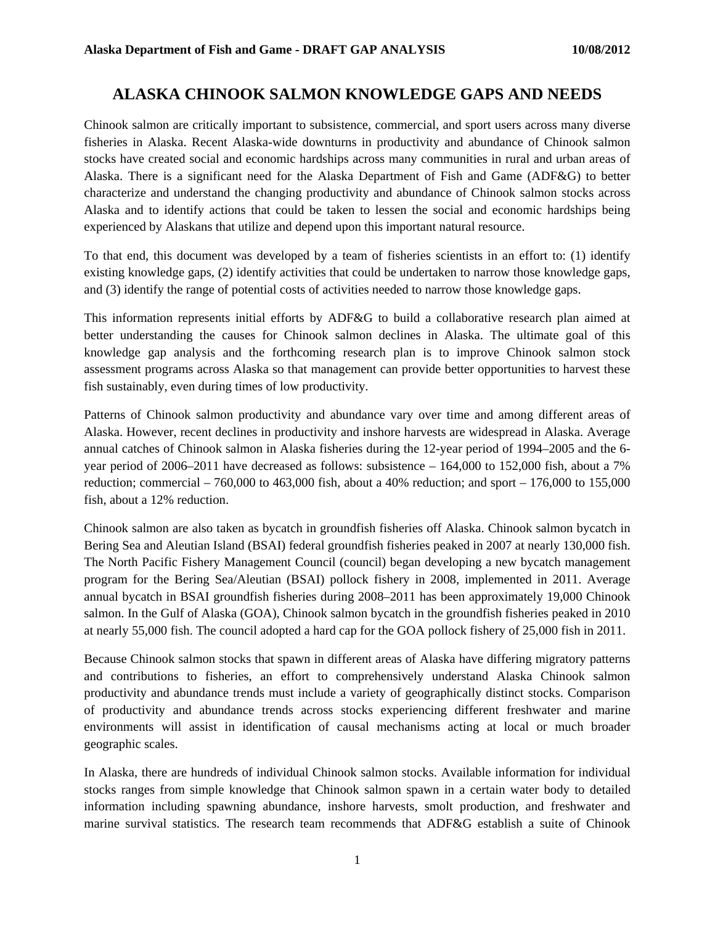# **ALASKA CHINOOK SALMON KNOWLEDGE GAPS AND NEEDS**

Chinook salmon are critically important to subsistence, commercial, and sport users across many diverse fisheries in Alaska. Recent Alaska-wide downturns in productivity and abundance of Chinook salmon stocks have created social and economic hardships across many communities in rural and urban areas of Alaska. There is a significant need for the Alaska Department of Fish and Game (ADF&G) to better characterize and understand the changing productivity and abundance of Chinook salmon stocks across Alaska and to identify actions that could be taken to lessen the social and economic hardships being experienced by Alaskans that utilize and depend upon this important natural resource.

To that end, this document was developed by a team of fisheries scientists in an effort to: (1) identify existing knowledge gaps, (2) identify activities that could be undertaken to narrow those knowledge gaps, and (3) identify the range of potential costs of activities needed to narrow those knowledge gaps.

This information represents initial efforts by ADF&G to build a collaborative research plan aimed at better understanding the causes for Chinook salmon declines in Alaska. The ultimate goal of this knowledge gap analysis and the forthcoming research plan is to improve Chinook salmon stock assessment programs across Alaska so that management can provide better opportunities to harvest these fish sustainably, even during times of low productivity.

Patterns of Chinook salmon productivity and abundance vary over time and among different areas of Alaska. However, recent declines in productivity and inshore harvests are widespread in Alaska. Average annual catches of Chinook salmon in Alaska fisheries during the 12-year period of 1994–2005 and the 6 year period of 2006–2011 have decreased as follows: subsistence – 164,000 to 152,000 fish, about a 7% reduction; commercial  $-760,000$  to  $463,000$  fish, about a  $40\%$  reduction; and sport  $-176,000$  to  $155,000$ fish, about a 12% reduction.

Chinook salmon are also taken as bycatch in groundfish fisheries off Alaska. Chinook salmon bycatch in Bering Sea and Aleutian Island (BSAI) federal groundfish fisheries peaked in 2007 at nearly 130,000 fish. The North Pacific Fishery Management Council (council) began developing a new bycatch management program for the Bering Sea/Aleutian (BSAI) pollock fishery in 2008, implemented in 2011. Average annual bycatch in BSAI groundfish fisheries during 2008–2011 has been approximately 19,000 Chinook salmon. In the Gulf of Alaska (GOA), Chinook salmon bycatch in the groundfish fisheries peaked in 2010 at nearly 55,000 fish. The council adopted a hard cap for the GOA pollock fishery of 25,000 fish in 2011.

Because Chinook salmon stocks that spawn in different areas of Alaska have differing migratory patterns and contributions to fisheries, an effort to comprehensively understand Alaska Chinook salmon productivity and abundance trends must include a variety of geographically distinct stocks. Comparison of productivity and abundance trends across stocks experiencing different freshwater and marine environments will assist in identification of causal mechanisms acting at local or much broader geographic scales.

In Alaska, there are hundreds of individual Chinook salmon stocks. Available information for individual stocks ranges from simple knowledge that Chinook salmon spawn in a certain water body to detailed information including spawning abundance, inshore harvests, smolt production, and freshwater and marine survival statistics. The research team recommends that ADF&G establish a suite of Chinook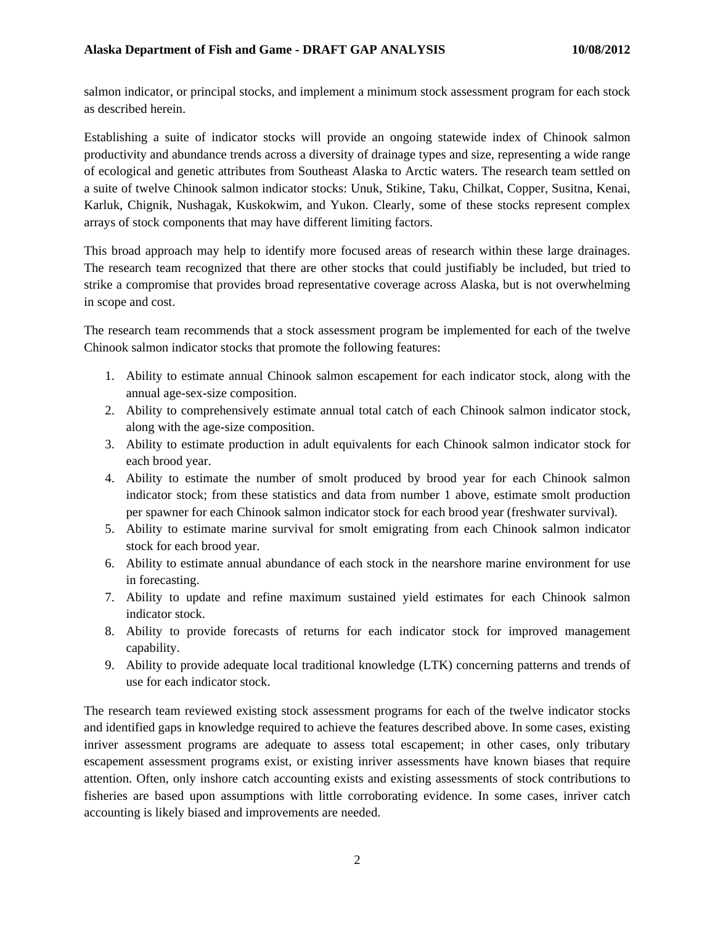salmon indicator, or principal stocks, and implement a minimum stock assessment program for each stock as described herein.

Establishing a suite of indicator stocks will provide an ongoing statewide index of Chinook salmon productivity and abundance trends across a diversity of drainage types and size, representing a wide range of ecological and genetic attributes from Southeast Alaska to Arctic waters. The research team settled on a suite of twelve Chinook salmon indicator stocks: Unuk, Stikine, Taku, Chilkat, Copper, Susitna, Kenai, Karluk, Chignik, Nushagak, Kuskokwim, and Yukon. Clearly, some of these stocks represent complex arrays of stock components that may have different limiting factors.

This broad approach may help to identify more focused areas of research within these large drainages. The research team recognized that there are other stocks that could justifiably be included, but tried to strike a compromise that provides broad representative coverage across Alaska, but is not overwhelming in scope and cost.

The research team recommends that a stock assessment program be implemented for each of the twelve Chinook salmon indicator stocks that promote the following features:

- 1. Ability to estimate annual Chinook salmon escapement for each indicator stock, along with the annual age-sex-size composition.
- 2. Ability to comprehensively estimate annual total catch of each Chinook salmon indicator stock, along with the age-size composition.
- 3. Ability to estimate production in adult equivalents for each Chinook salmon indicator stock for each brood year.
- 4. Ability to estimate the number of smolt produced by brood year for each Chinook salmon indicator stock; from these statistics and data from number 1 above, estimate smolt production per spawner for each Chinook salmon indicator stock for each brood year (freshwater survival).
- 5. Ability to estimate marine survival for smolt emigrating from each Chinook salmon indicator stock for each brood year.
- 6. Ability to estimate annual abundance of each stock in the nearshore marine environment for use in forecasting.
- 7. Ability to update and refine maximum sustained yield estimates for each Chinook salmon indicator stock.
- 8. Ability to provide forecasts of returns for each indicator stock for improved management capability.
- 9. Ability to provide adequate local traditional knowledge (LTK) concerning patterns and trends of use for each indicator stock.

The research team reviewed existing stock assessment programs for each of the twelve indicator stocks and identified gaps in knowledge required to achieve the features described above. In some cases, existing inriver assessment programs are adequate to assess total escapement; in other cases, only tributary escapement assessment programs exist, or existing inriver assessments have known biases that require attention. Often, only inshore catch accounting exists and existing assessments of stock contributions to fisheries are based upon assumptions with little corroborating evidence. In some cases, inriver catch accounting is likely biased and improvements are needed.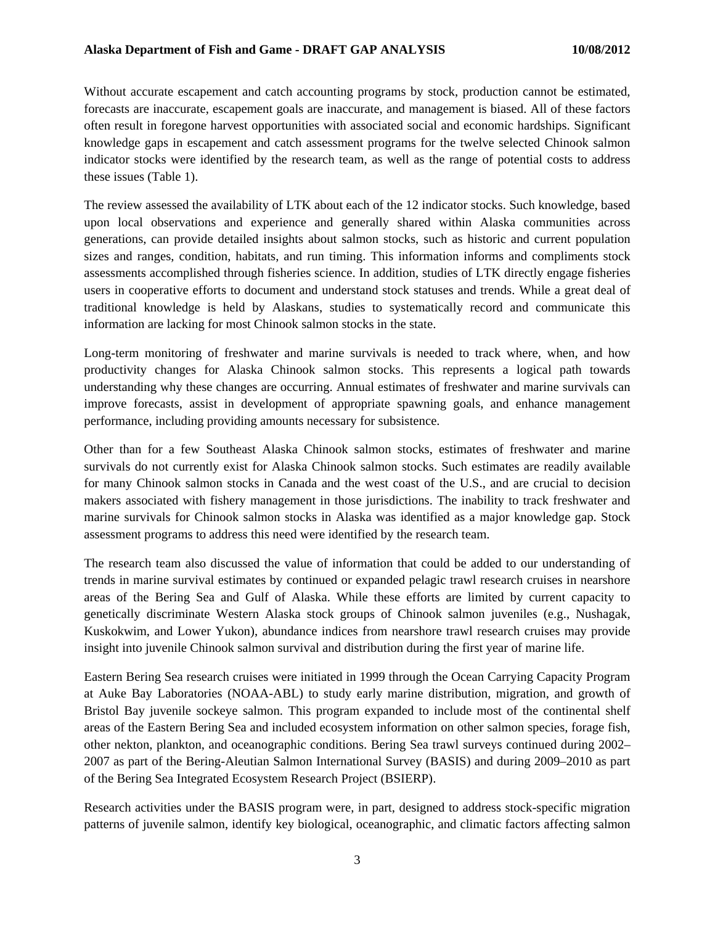Without accurate escapement and catch accounting programs by stock, production cannot be estimated, forecasts are inaccurate, escapement goals are inaccurate, and management is biased. All of these factors often result in foregone harvest opportunities with associated social and economic hardships. Significant knowledge gaps in escapement and catch assessment programs for the twelve selected Chinook salmon indicator stocks were identified by the research team, as well as the range of potential costs to address these issues (Table 1).

The review assessed the availability of LTK about each of the 12 indicator stocks. Such knowledge, based upon local observations and experience and generally shared within Alaska communities across generations, can provide detailed insights about salmon stocks, such as historic and current population sizes and ranges, condition, habitats, and run timing. This information informs and compliments stock assessments accomplished through fisheries science. In addition, studies of LTK directly engage fisheries users in cooperative efforts to document and understand stock statuses and trends. While a great deal of traditional knowledge is held by Alaskans, studies to systematically record and communicate this information are lacking for most Chinook salmon stocks in the state.

Long-term monitoring of freshwater and marine survivals is needed to track where, when, and how productivity changes for Alaska Chinook salmon stocks. This represents a logical path towards understanding why these changes are occurring. Annual estimates of freshwater and marine survivals can improve forecasts, assist in development of appropriate spawning goals, and enhance management performance, including providing amounts necessary for subsistence.

Other than for a few Southeast Alaska Chinook salmon stocks, estimates of freshwater and marine survivals do not currently exist for Alaska Chinook salmon stocks. Such estimates are readily available for many Chinook salmon stocks in Canada and the west coast of the U.S., and are crucial to decision makers associated with fishery management in those jurisdictions. The inability to track freshwater and marine survivals for Chinook salmon stocks in Alaska was identified as a major knowledge gap. Stock assessment programs to address this need were identified by the research team.

The research team also discussed the value of information that could be added to our understanding of trends in marine survival estimates by continued or expanded pelagic trawl research cruises in nearshore areas of the Bering Sea and Gulf of Alaska. While these efforts are limited by current capacity to genetically discriminate Western Alaska stock groups of Chinook salmon juveniles (e.g., Nushagak, Kuskokwim, and Lower Yukon), abundance indices from nearshore trawl research cruises may provide insight into juvenile Chinook salmon survival and distribution during the first year of marine life.

Eastern Bering Sea research cruises were initiated in 1999 through the Ocean Carrying Capacity Program at Auke Bay Laboratories (NOAA-ABL) to study early marine distribution, migration, and growth of Bristol Bay juvenile sockeye salmon. This program expanded to include most of the continental shelf areas of the Eastern Bering Sea and included ecosystem information on other salmon species, forage fish, other nekton, plankton, and oceanographic conditions. Bering Sea trawl surveys continued during 2002– 2007 as part of the Bering-Aleutian Salmon International Survey (BASIS) and during 2009–2010 as part of the Bering Sea Integrated Ecosystem Research Project (BSIERP).

Research activities under the BASIS program were, in part, designed to address stock-specific migration patterns of juvenile salmon, identify key biological, oceanographic, and climatic factors affecting salmon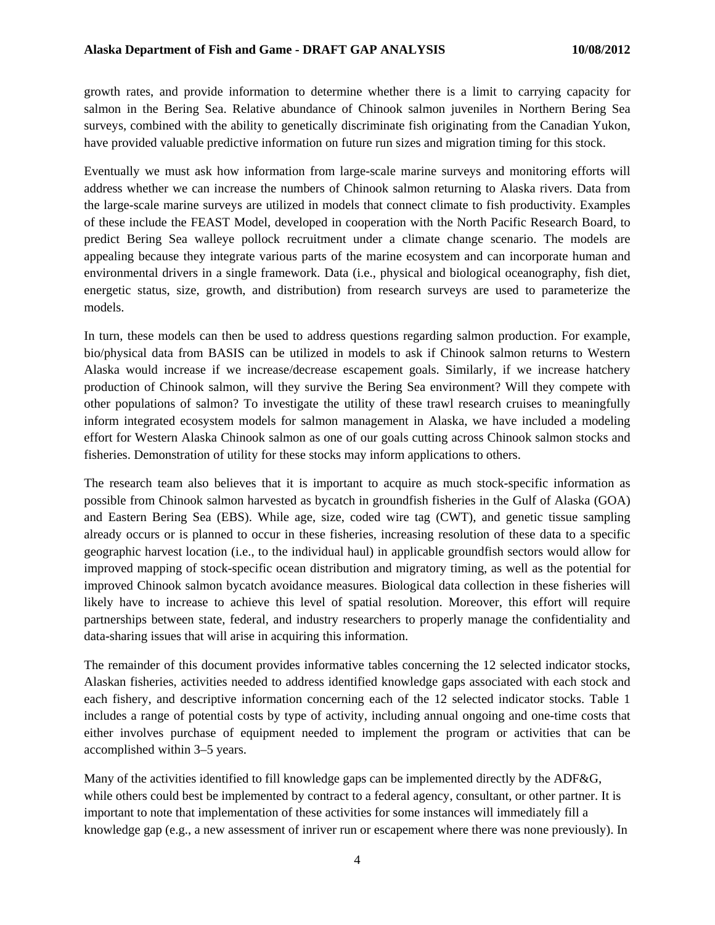growth rates, and provide information to determine whether there is a limit to carrying capacity for salmon in the Bering Sea. Relative abundance of Chinook salmon juveniles in Northern Bering Sea surveys, combined with the ability to genetically discriminate fish originating from the Canadian Yukon, have provided valuable predictive information on future run sizes and migration timing for this stock.

Eventually we must ask how information from large-scale marine surveys and monitoring efforts will address whether we can increase the numbers of Chinook salmon returning to Alaska rivers. Data from the large-scale marine surveys are utilized in models that connect climate to fish productivity. Examples of these include the FEAST Model, developed in cooperation with the North Pacific Research Board, to predict Bering Sea walleye pollock recruitment under a climate change scenario. The models are appealing because they integrate various parts of the marine ecosystem and can incorporate human and environmental drivers in a single framework. Data (i.e., physical and biological oceanography, fish diet, energetic status, size, growth, and distribution) from research surveys are used to parameterize the models.

In turn, these models can then be used to address questions regarding salmon production. For example, bio/physical data from BASIS can be utilized in models to ask if Chinook salmon returns to Western Alaska would increase if we increase/decrease escapement goals. Similarly, if we increase hatchery production of Chinook salmon, will they survive the Bering Sea environment? Will they compete with other populations of salmon? To investigate the utility of these trawl research cruises to meaningfully inform integrated ecosystem models for salmon management in Alaska, we have included a modeling effort for Western Alaska Chinook salmon as one of our goals cutting across Chinook salmon stocks and fisheries. Demonstration of utility for these stocks may inform applications to others.

The research team also believes that it is important to acquire as much stock-specific information as possible from Chinook salmon harvested as bycatch in groundfish fisheries in the Gulf of Alaska (GOA) and Eastern Bering Sea (EBS). While age, size, coded wire tag (CWT), and genetic tissue sampling already occurs or is planned to occur in these fisheries, increasing resolution of these data to a specific geographic harvest location (i.e., to the individual haul) in applicable groundfish sectors would allow for improved mapping of stock-specific ocean distribution and migratory timing, as well as the potential for improved Chinook salmon bycatch avoidance measures. Biological data collection in these fisheries will likely have to increase to achieve this level of spatial resolution. Moreover, this effort will require partnerships between state, federal, and industry researchers to properly manage the confidentiality and data-sharing issues that will arise in acquiring this information.

The remainder of this document provides informative tables concerning the 12 selected indicator stocks, Alaskan fisheries, activities needed to address identified knowledge gaps associated with each stock and each fishery, and descriptive information concerning each of the 12 selected indicator stocks. Table 1 includes a range of potential costs by type of activity, including annual ongoing and one-time costs that either involves purchase of equipment needed to implement the program or activities that can be accomplished within 3–5 years.

Many of the activities identified to fill knowledge gaps can be implemented directly by the ADF&G, while others could best be implemented by contract to a federal agency, consultant, or other partner. It is important to note that implementation of these activities for some instances will immediately fill a knowledge gap (e.g., a new assessment of inriver run or escapement where there was none previously). In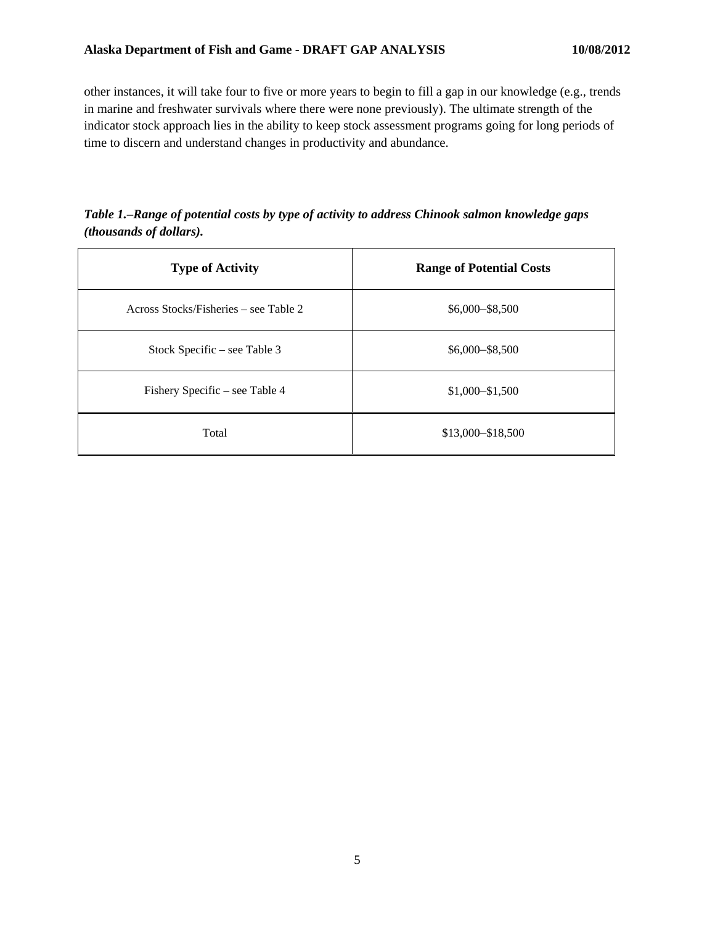other instances, it will take four to five or more years to begin to fill a gap in our knowledge (e.g., trends in marine and freshwater survivals where there were none previously). The ultimate strength of the indicator stock approach lies in the ability to keep stock assessment programs going for long periods of time to discern and understand changes in productivity and abundance.

*Table 1.*–*Range of potential costs by type of activity to address Chinook salmon knowledge gaps (thousands of dollars).* 

| <b>Type of Activity</b>               | <b>Range of Potential Costs</b> |  |  |
|---------------------------------------|---------------------------------|--|--|
| Across Stocks/Fisheries – see Table 2 | $$6,000 - $8,500$               |  |  |
| Stock Specific – see Table 3          | $$6,000 - $8,500$               |  |  |
| Fishery Specific – see Table 4        | $$1,000 - $1,500$               |  |  |
| Total                                 | $$13,000 - $18,500$             |  |  |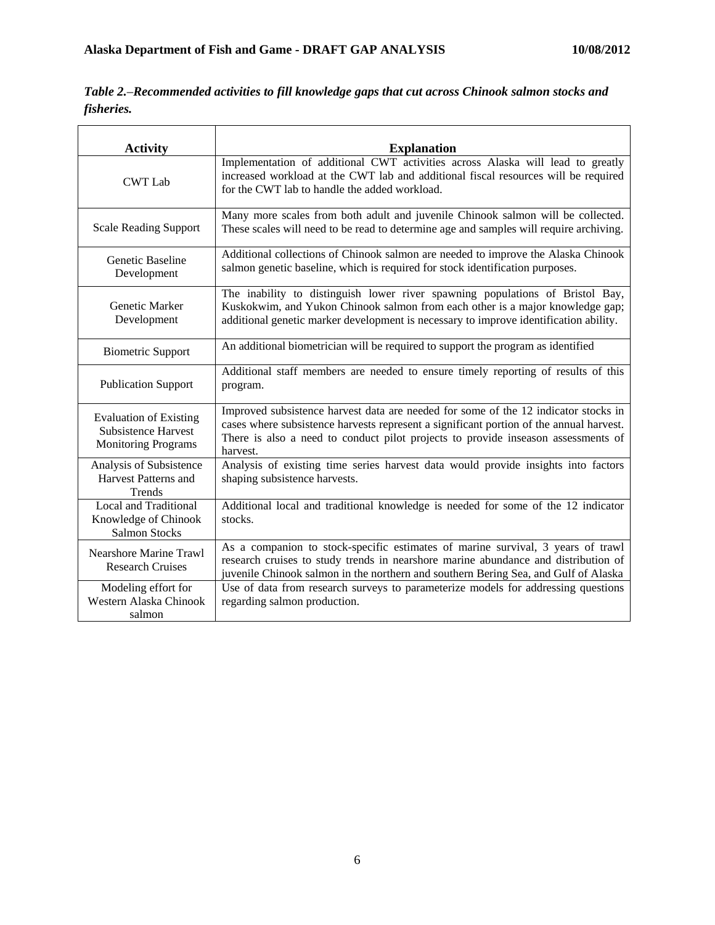| Table 2.–Recommended activities to fill knowledge gaps that cut across Chinook salmon stocks and |
|--------------------------------------------------------------------------------------------------|
| fisheries.                                                                                       |

| <b>Activity</b>                                                                    | <b>Explanation</b>                                                                                                                                                                                                                                                              |
|------------------------------------------------------------------------------------|---------------------------------------------------------------------------------------------------------------------------------------------------------------------------------------------------------------------------------------------------------------------------------|
| <b>CWT</b> Lab                                                                     | Implementation of additional CWT activities across Alaska will lead to greatly<br>increased workload at the CWT lab and additional fiscal resources will be required<br>for the CWT lab to handle the added workload.                                                           |
| <b>Scale Reading Support</b>                                                       | Many more scales from both adult and juvenile Chinook salmon will be collected.<br>These scales will need to be read to determine age and samples will require archiving.                                                                                                       |
| Genetic Baseline<br>Development                                                    | Additional collections of Chinook salmon are needed to improve the Alaska Chinook<br>salmon genetic baseline, which is required for stock identification purposes.                                                                                                              |
| Genetic Marker<br>Development                                                      | The inability to distinguish lower river spawning populations of Bristol Bay,<br>Kuskokwim, and Yukon Chinook salmon from each other is a major knowledge gap;<br>additional genetic marker development is necessary to improve identification ability.                         |
| <b>Biometric Support</b>                                                           | An additional biometrician will be required to support the program as identified                                                                                                                                                                                                |
| <b>Publication Support</b>                                                         | Additional staff members are needed to ensure timely reporting of results of this<br>program.                                                                                                                                                                                   |
| <b>Evaluation of Existing</b><br>Subsistence Harvest<br><b>Monitoring Programs</b> | Improved subsistence harvest data are needed for some of the 12 indicator stocks in<br>cases where subsistence harvests represent a significant portion of the annual harvest.<br>There is also a need to conduct pilot projects to provide inseason assessments of<br>harvest. |
| Analysis of Subsistence<br>Harvest Patterns and<br><b>Trends</b>                   | Analysis of existing time series harvest data would provide insights into factors<br>shaping subsistence harvests.                                                                                                                                                              |
| Local and Traditional<br>Knowledge of Chinook<br><b>Salmon Stocks</b>              | Additional local and traditional knowledge is needed for some of the 12 indicator<br>stocks.                                                                                                                                                                                    |
| <b>Nearshore Marine Trawl</b><br><b>Research Cruises</b>                           | As a companion to stock-specific estimates of marine survival, 3 years of trawl<br>research cruises to study trends in nearshore marine abundance and distribution of<br>juvenile Chinook salmon in the northern and southern Bering Sea, and Gulf of Alaska                    |
| Modeling effort for<br>Western Alaska Chinook<br>salmon                            | Use of data from research surveys to parameterize models for addressing questions<br>regarding salmon production.                                                                                                                                                               |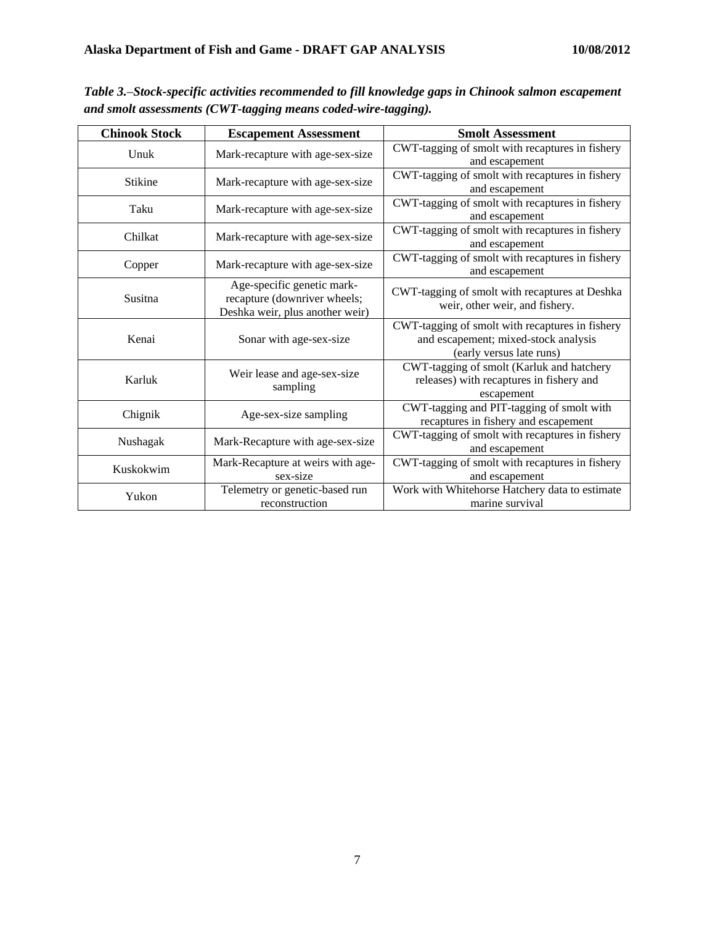| <b>Chinook Stock</b> | <b>Escapement Assessment</b>                                                                  | <b>Smolt Assessment</b>                                                                                             |  |  |
|----------------------|-----------------------------------------------------------------------------------------------|---------------------------------------------------------------------------------------------------------------------|--|--|
| Unuk                 | Mark-recapture with age-sex-size                                                              | CWT-tagging of smolt with recaptures in fishery<br>and escapement                                                   |  |  |
| <b>Stikine</b>       | Mark-recapture with age-sex-size                                                              | CWT-tagging of smolt with recaptures in fishery<br>and escapement                                                   |  |  |
| Taku                 | Mark-recapture with age-sex-size                                                              | CWT-tagging of smolt with recaptures in fishery<br>and escapement                                                   |  |  |
| Chilkat              | Mark-recapture with age-sex-size                                                              | CWT-tagging of smolt with recaptures in fishery<br>and escapement                                                   |  |  |
| Copper               | Mark-recapture with age-sex-size                                                              | CWT-tagging of smolt with recaptures in fishery<br>and escapement                                                   |  |  |
| Susitna              | Age-specific genetic mark-<br>recapture (downriver wheels;<br>Deshka weir, plus another weir) | CWT-tagging of smolt with recaptures at Deshka<br>weir, other weir, and fishery.                                    |  |  |
| Kenai                | Sonar with age-sex-size                                                                       | CWT-tagging of smolt with recaptures in fishery<br>and escapement; mixed-stock analysis<br>(early versus late runs) |  |  |
| Karluk               | Weir lease and age-sex-size<br>sampling                                                       | CWT-tagging of smolt (Karluk and hatchery<br>releases) with recaptures in fishery and<br>escapement                 |  |  |
| Chignik              | Age-sex-size sampling                                                                         | CWT-tagging and PIT-tagging of smolt with<br>recaptures in fishery and escapement                                   |  |  |
| Nushagak             | Mark-Recapture with age-sex-size                                                              | CWT-tagging of smolt with recaptures in fishery<br>and escapement                                                   |  |  |
| Kuskokwim            | Mark-Recapture at weirs with age-<br>sex-size                                                 | CWT-tagging of smolt with recaptures in fishery<br>and escapement                                                   |  |  |
| Yukon                | Telemetry or genetic-based run<br>reconstruction                                              | Work with Whitehorse Hatchery data to estimate<br>marine survival                                                   |  |  |

*Table 3.*–*Stock-specific activities recommended to fill knowledge gaps in Chinook salmon escapement and smolt assessments (CWT-tagging means coded-wire-tagging).*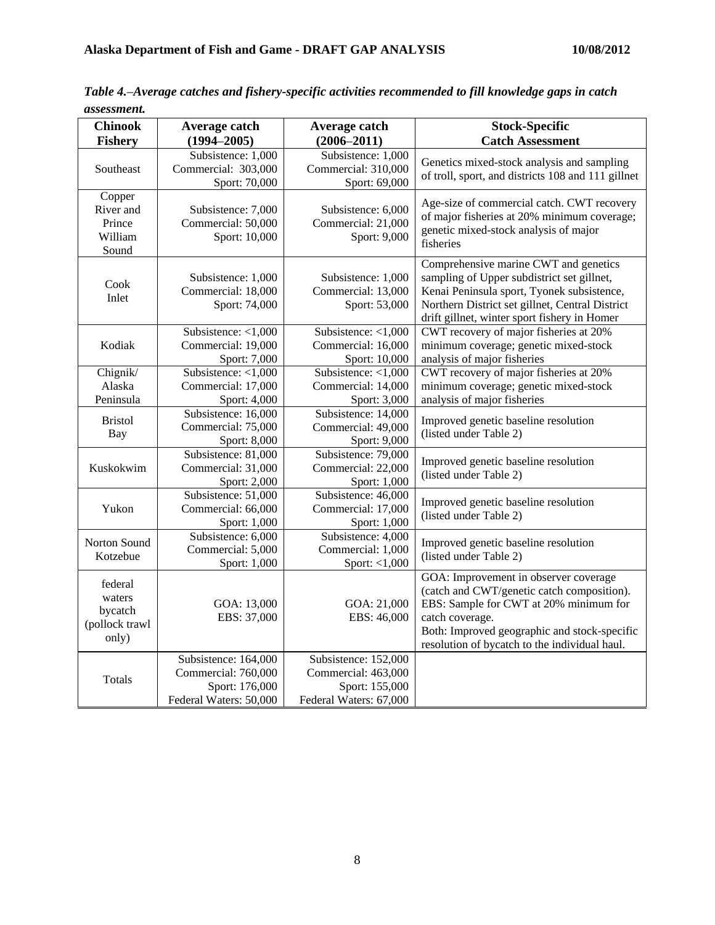| <b>Chinook</b><br><b>Fishery</b>                        | Average catch<br>$(1994 - 2005)$                                                        | Average catch<br>$(2006 - 2011)$                                                        | <b>Stock-Specific</b><br><b>Catch Assessment</b>                                                                                                                                                                                                  |  |
|---------------------------------------------------------|-----------------------------------------------------------------------------------------|-----------------------------------------------------------------------------------------|---------------------------------------------------------------------------------------------------------------------------------------------------------------------------------------------------------------------------------------------------|--|
| Southeast                                               | Subsistence: 1,000<br>Commercial: 303,000<br>Sport: 70,000                              | Subsistence: 1,000<br>Commercial: 310,000<br>Sport: 69,000                              | Genetics mixed-stock analysis and sampling<br>of troll, sport, and districts 108 and 111 gillnet                                                                                                                                                  |  |
| Copper<br>River and<br>Prince<br>William<br>Sound       | Subsistence: 7,000<br>Commercial: 50,000<br>Sport: 10,000                               | Subsistence: 6,000<br>Commercial: 21,000<br>Sport: 9,000                                | Age-size of commercial catch. CWT recovery<br>of major fisheries at 20% minimum coverage;<br>genetic mixed-stock analysis of major<br>fisheries                                                                                                   |  |
| Cook<br>Inlet                                           | Subsistence: 1,000<br>Commercial: 18,000<br>Sport: 74,000                               | Subsistence: 1,000<br>Commercial: 13,000<br>Sport: 53,000                               | Comprehensive marine CWT and genetics<br>sampling of Upper subdistrict set gillnet,<br>Kenai Peninsula sport, Tyonek subsistence,<br>Northern District set gillnet, Central District<br>drift gillnet, winter sport fishery in Homer              |  |
| Kodiak                                                  | Subsistence: <1,000<br>Commercial: 19,000<br>Sport: 7,000                               | Subsistence: <1,000<br>Commercial: 16,000<br>Sport: 10,000                              | CWT recovery of major fisheries at 20%<br>minimum coverage; genetic mixed-stock<br>analysis of major fisheries                                                                                                                                    |  |
| Chignik/<br>Alaska<br>Peninsula                         | Subsistence: <1,000<br>Commercial: 17,000<br>Sport: 4,000                               | Subsistence: <1,000<br>Commercial: 14,000<br>Sport: 3,000                               | CWT recovery of major fisheries at 20%<br>minimum coverage; genetic mixed-stock<br>analysis of major fisheries                                                                                                                                    |  |
| <b>Bristol</b><br>Bay                                   | Subsistence: 16,000<br>Commercial: 75,000<br>Sport: 8,000                               | Subsistence: 14,000<br>Commercial: 49,000<br>Sport: 9,000                               | Improved genetic baseline resolution<br>(listed under Table 2)                                                                                                                                                                                    |  |
| Kuskokwim                                               | Subsistence: 81,000<br>Commercial: 31,000<br>Sport: 2,000                               | Subsistence: 79,000<br>Commercial: 22,000<br>Sport: 1,000                               | Improved genetic baseline resolution<br>(listed under Table 2)                                                                                                                                                                                    |  |
| Yukon                                                   | Subsistence: 51,000<br>Commercial: 66,000<br>Sport: 1,000                               | Subsistence: 46,000<br>Commercial: 17,000<br>Sport: 1,000                               | Improved genetic baseline resolution<br>(listed under Table 2)                                                                                                                                                                                    |  |
| Norton Sound<br>Kotzebue                                | Subsistence: 6,000<br>Commercial: 5,000<br>Sport: 1,000                                 | Subsistence: 4,000<br>Commercial: 1,000<br>Sport: $<$ 1,000                             | Improved genetic baseline resolution<br>(listed under Table 2)                                                                                                                                                                                    |  |
| federal<br>waters<br>bycatch<br>(pollock trawl<br>only) | GOA: 13,000<br>EBS: 37,000                                                              | GOA: 21,000<br>EBS: 46,000                                                              | GOA: Improvement in observer coverage<br>(catch and CWT/genetic catch composition).<br>EBS: Sample for CWT at 20% minimum for<br>catch coverage.<br>Both: Improved geographic and stock-specific<br>resolution of bycatch to the individual haul. |  |
| Totals                                                  | Subsistence: 164,000<br>Commercial: 760,000<br>Sport: 176,000<br>Federal Waters: 50,000 | Subsistence: 152,000<br>Commercial: 463,000<br>Sport: 155,000<br>Federal Waters: 67,000 |                                                                                                                                                                                                                                                   |  |

*Table 4.*–*Average catches and fishery-specific activities recommended to fill knowledge gaps in catch assessment.*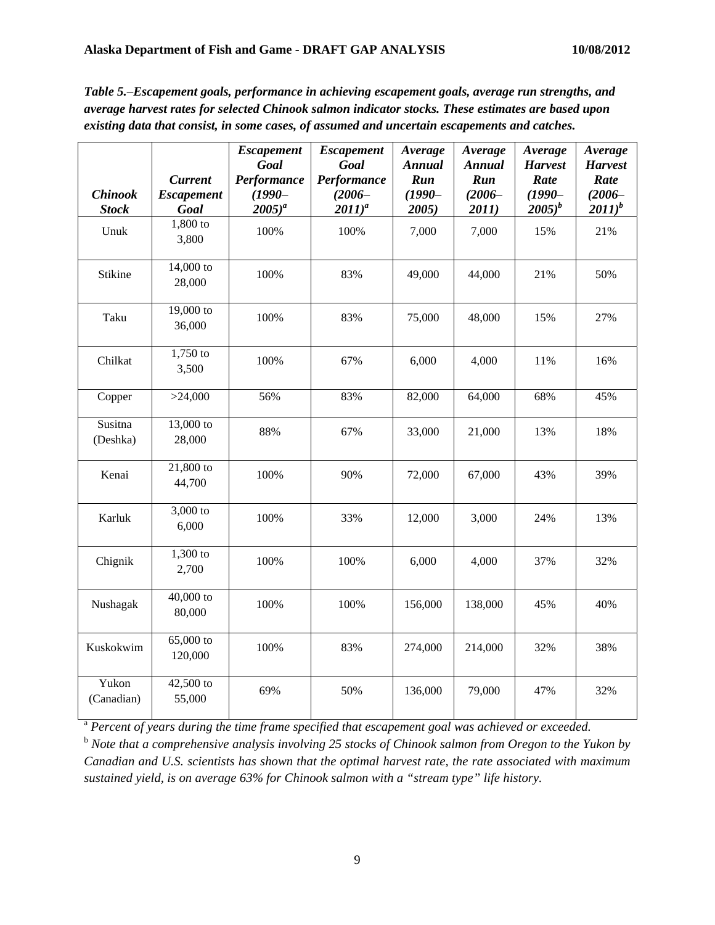| existing data that consist, in some cases, of assumed and uncertain escapements and catches. |                                             |                                                                      |                                                                       |                                                       |                                                       |                                                                |                                                                |
|----------------------------------------------------------------------------------------------|---------------------------------------------|----------------------------------------------------------------------|-----------------------------------------------------------------------|-------------------------------------------------------|-------------------------------------------------------|----------------------------------------------------------------|----------------------------------------------------------------|
| <b>Chinook</b><br><b>Stock</b>                                                               | <b>Current</b><br><b>Escapement</b><br>Goal | <b>Escapement</b><br>Goal<br>Performance<br>$(1990 -$<br>$2005)^{a}$ | <b>Escapement</b><br>Goal<br>Performance<br>$(2006 -$<br>$(2011)^{a}$ | Average<br><b>Annual</b><br>Run<br>$(1990 -$<br>2005) | Average<br><b>Annual</b><br>Run<br>$(2006 -$<br>2011) | Average<br><b>Harvest</b><br>Rate<br>$(1990 -$<br>$(2005)^{b}$ | Average<br><b>Harvest</b><br>Rate<br>$(2006 -$<br>$(2011)^{b}$ |
| Unuk                                                                                         | $1,800$ to<br>3,800                         | 100%                                                                 | 100%                                                                  | 7,000                                                 | 7,000                                                 | 15%                                                            | 21%                                                            |
| <b>Stikine</b>                                                                               | 14,000 to<br>28,000                         | 100%                                                                 | 83%                                                                   | 49,000                                                | 44,000                                                | 21%                                                            | 50%                                                            |
| Taku                                                                                         | 19,000 to<br>36,000                         | 100%                                                                 | 83%                                                                   | 75,000                                                | 48,000                                                | 15%                                                            | 27%                                                            |
| Chilkat                                                                                      | 1,750 to<br>3,500                           | 100%                                                                 | 67%                                                                   | 6,000                                                 | 4,000                                                 | 11%                                                            | 16%                                                            |
| Copper                                                                                       | >24,000                                     | 56%                                                                  | 83%                                                                   | 82,000                                                | 64,000                                                | 68%                                                            | 45%                                                            |
| Susitna<br>(Deshka)                                                                          | 13,000 to<br>28,000                         | 88%                                                                  | 67%                                                                   | 33,000                                                | 21,000                                                | 13%                                                            | 18%                                                            |
| Kenai                                                                                        | 21,800 to<br>44,700                         | 100%                                                                 | 90%                                                                   | 72,000                                                | 67,000                                                | 43%                                                            | 39%                                                            |
| Karluk                                                                                       | 3,000 to<br>6,000                           | 100%                                                                 | 33%                                                                   | 12,000                                                | 3,000                                                 | 24%                                                            | 13%                                                            |
| Chignik                                                                                      | 1,300 to<br>2,700                           | 100%                                                                 | 100%                                                                  | 6,000                                                 | 4,000                                                 | 37%                                                            | 32%                                                            |
| Nushagak                                                                                     | 40,000 to<br>80,000                         | 100%                                                                 | 100%                                                                  | 156,000                                               | 138,000                                               | 45%                                                            | 40%                                                            |
| Kuskokwim                                                                                    | $65,000$ to<br>120,000                      | 100%                                                                 | 83%                                                                   | 274,000                                               | 214,000                                               | 32%                                                            | 38%                                                            |
| Yukon<br>(Canadian)                                                                          | 42,500 to<br>55,000                         | 69%                                                                  | 50%                                                                   | 136,000                                               | 79,000                                                | 47%                                                            | 32%                                                            |

*Table 5.*–*Escapement goals, performance in achieving escapement goals, average run strengths, and average harvest rates for selected Chinook salmon indicator stocks. These estimates are based upon existing data that consist, in some cases, of assumed and uncertain escapements and catches.* 

<sup>a</sup> Percent of years during the time frame specified that escapement goal was achieved or exceeded.

<sup>b</sup> *Note that a comprehensive analysis involving 25 stocks of Chinook salmon from Oregon to the Yukon by Canadian and U.S. scientists has shown that the optimal harvest rate, the rate associated with maximum sustained yield, is on average 63% for Chinook salmon with a "stream type" life history.*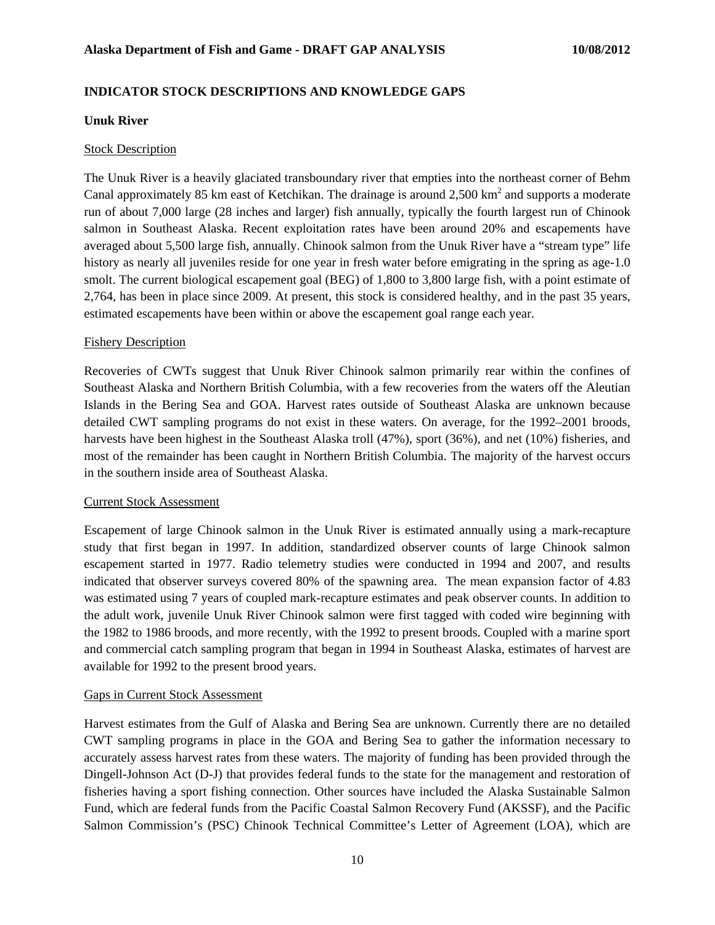### **INDICATOR STOCK DESCRIPTIONS AND KNOWLEDGE GAPS**

#### **Unuk River**

### **Stock Description**

The Unuk River is a heavily glaciated transboundary river that empties into the northeast corner of Behm Canal approximately 85 km east of Ketchikan. The drainage is around  $2,500 \text{ km}^2$  and supports a moderate run of about 7,000 large (28 inches and larger) fish annually, typically the fourth largest run of Chinook salmon in Southeast Alaska. Recent exploitation rates have been around 20% and escapements have averaged about 5,500 large fish, annually. Chinook salmon from the Unuk River have a "stream type" life history as nearly all juveniles reside for one year in fresh water before emigrating in the spring as age-1.0 smolt. The current biological escapement goal (BEG) of 1,800 to 3,800 large fish, with a point estimate of 2,764, has been in place since 2009. At present, this stock is considered healthy, and in the past 35 years, estimated escapements have been within or above the escapement goal range each year.

### Fishery Description

Recoveries of CWTs suggest that Unuk River Chinook salmon primarily rear within the confines of Southeast Alaska and Northern British Columbia, with a few recoveries from the waters off the Aleutian Islands in the Bering Sea and GOA. Harvest rates outside of Southeast Alaska are unknown because detailed CWT sampling programs do not exist in these waters. On average, for the 1992–2001 broods, harvests have been highest in the Southeast Alaska troll (47%), sport (36%), and net (10%) fisheries, and most of the remainder has been caught in Northern British Columbia. The majority of the harvest occurs in the southern inside area of Southeast Alaska.

#### Current Stock Assessment

Escapement of large Chinook salmon in the Unuk River is estimated annually using a mark-recapture study that first began in 1997. In addition, standardized observer counts of large Chinook salmon escapement started in 1977. Radio telemetry studies were conducted in 1994 and 2007, and results indicated that observer surveys covered 80% of the spawning area. The mean expansion factor of 4.83 was estimated using 7 years of coupled mark-recapture estimates and peak observer counts. In addition to the adult work, juvenile Unuk River Chinook salmon were first tagged with coded wire beginning with the 1982 to 1986 broods, and more recently, with the 1992 to present broods. Coupled with a marine sport and commercial catch sampling program that began in 1994 in Southeast Alaska, estimates of harvest are available for 1992 to the present brood years.

#### Gaps in Current Stock Assessment

Harvest estimates from the Gulf of Alaska and Bering Sea are unknown. Currently there are no detailed CWT sampling programs in place in the GOA and Bering Sea to gather the information necessary to accurately assess harvest rates from these waters. The majority of funding has been provided through the Dingell-Johnson Act (D-J) that provides federal funds to the state for the management and restoration of fisheries having a sport fishing connection. Other sources have included the Alaska Sustainable Salmon Fund, which are federal funds from the Pacific Coastal Salmon Recovery Fund (AKSSF), and the Pacific Salmon Commission's (PSC) Chinook Technical Committee's Letter of Agreement (LOA), which are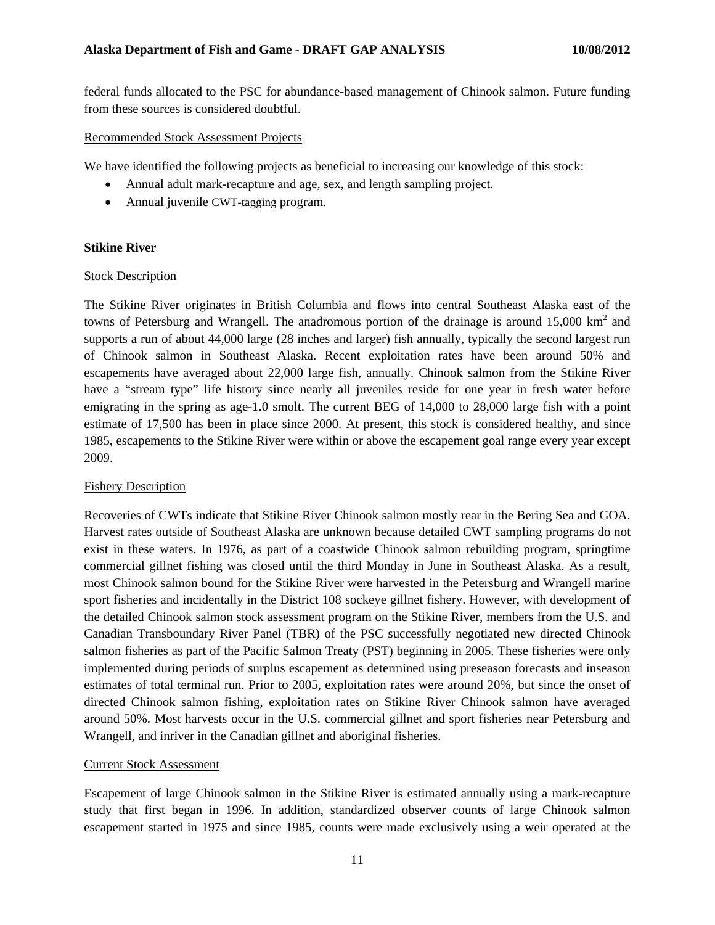federal funds allocated to the PSC for abundance-based management of Chinook salmon. Future funding from these sources is considered doubtful.

### Recommended Stock Assessment Projects

We have identified the following projects as beneficial to increasing our knowledge of this stock:

- Annual adult mark-recapture and age, sex, and length sampling project.
- Annual juvenile CWT-tagging program.

#### **Stikine River**

### Stock Description

The Stikine River originates in British Columbia and flows into central Southeast Alaska east of the towns of Petersburg and Wrangell. The anadromous portion of the drainage is around  $15,000 \text{ km}^2$  and supports a run of about 44,000 large (28 inches and larger) fish annually, typically the second largest run of Chinook salmon in Southeast Alaska. Recent exploitation rates have been around 50% and escapements have averaged about 22,000 large fish, annually. Chinook salmon from the Stikine River have a "stream type" life history since nearly all juveniles reside for one year in fresh water before emigrating in the spring as age-1.0 smolt. The current BEG of 14,000 to 28,000 large fish with a point estimate of 17,500 has been in place since 2000. At present, this stock is considered healthy, and since 1985, escapements to the Stikine River were within or above the escapement goal range every year except 2009.

## Fishery Description

Recoveries of CWTs indicate that Stikine River Chinook salmon mostly rear in the Bering Sea and GOA. Harvest rates outside of Southeast Alaska are unknown because detailed CWT sampling programs do not exist in these waters. In 1976, as part of a coastwide Chinook salmon rebuilding program, springtime commercial gillnet fishing was closed until the third Monday in June in Southeast Alaska. As a result, most Chinook salmon bound for the Stikine River were harvested in the Petersburg and Wrangell marine sport fisheries and incidentally in the District 108 sockeye gillnet fishery. However, with development of the detailed Chinook salmon stock assessment program on the Stikine River, members from the U.S. and Canadian Transboundary River Panel (TBR) of the PSC successfully negotiated new directed Chinook salmon fisheries as part of the Pacific Salmon Treaty (PST) beginning in 2005. These fisheries were only implemented during periods of surplus escapement as determined using preseason forecasts and inseason estimates of total terminal run. Prior to 2005, exploitation rates were around 20%, but since the onset of directed Chinook salmon fishing, exploitation rates on Stikine River Chinook salmon have averaged around 50%. Most harvests occur in the U.S. commercial gillnet and sport fisheries near Petersburg and Wrangell, and inriver in the Canadian gillnet and aboriginal fisheries.

## Current Stock Assessment

Escapement of large Chinook salmon in the Stikine River is estimated annually using a mark-recapture study that first began in 1996. In addition, standardized observer counts of large Chinook salmon escapement started in 1975 and since 1985, counts were made exclusively using a weir operated at the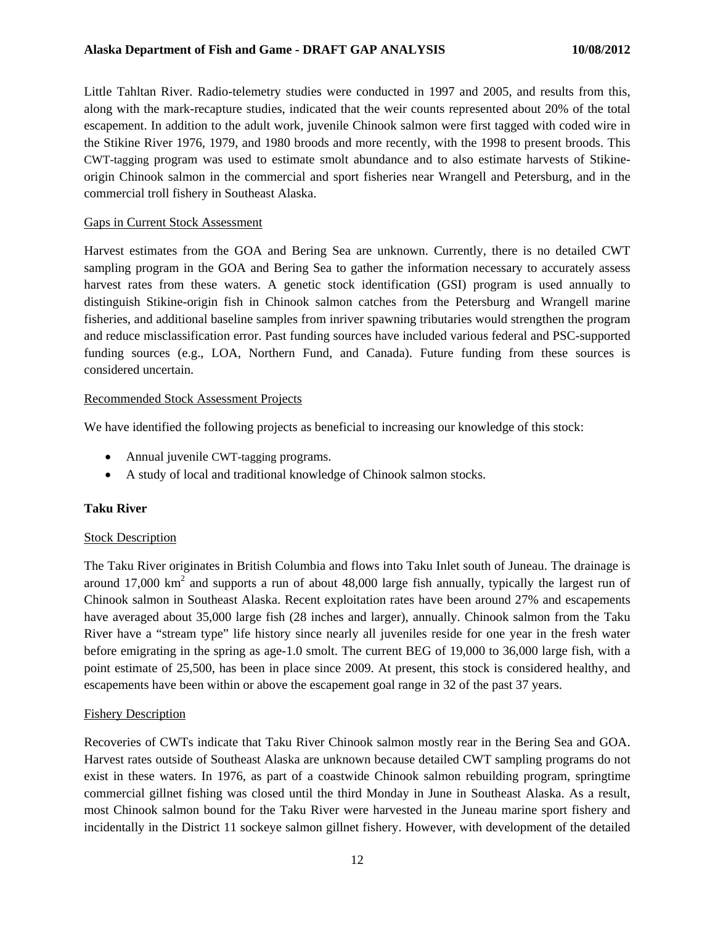Little Tahltan River. Radio-telemetry studies were conducted in 1997 and 2005, and results from this, along with the mark-recapture studies, indicated that the weir counts represented about 20% of the total escapement. In addition to the adult work, juvenile Chinook salmon were first tagged with coded wire in the Stikine River 1976, 1979, and 1980 broods and more recently, with the 1998 to present broods. This CWT-tagging program was used to estimate smolt abundance and to also estimate harvests of Stikineorigin Chinook salmon in the commercial and sport fisheries near Wrangell and Petersburg, and in the commercial troll fishery in Southeast Alaska.

#### Gaps in Current Stock Assessment

Harvest estimates from the GOA and Bering Sea are unknown. Currently, there is no detailed CWT sampling program in the GOA and Bering Sea to gather the information necessary to accurately assess harvest rates from these waters. A genetic stock identification (GSI) program is used annually to distinguish Stikine-origin fish in Chinook salmon catches from the Petersburg and Wrangell marine fisheries, and additional baseline samples from inriver spawning tributaries would strengthen the program and reduce misclassification error. Past funding sources have included various federal and PSC-supported funding sources (e.g., LOA, Northern Fund, and Canada). Future funding from these sources is considered uncertain.

#### Recommended Stock Assessment Projects

We have identified the following projects as beneficial to increasing our knowledge of this stock:

- Annual juvenile CWT-tagging programs.
- A study of local and traditional knowledge of Chinook salmon stocks.

## **Taku River**

#### Stock Description

The Taku River originates in British Columbia and flows into Taku Inlet south of Juneau. The drainage is around 17,000  $km<sup>2</sup>$  and supports a run of about 48,000 large fish annually, typically the largest run of Chinook salmon in Southeast Alaska. Recent exploitation rates have been around 27% and escapements have averaged about 35,000 large fish (28 inches and larger), annually. Chinook salmon from the Taku River have a "stream type" life history since nearly all juveniles reside for one year in the fresh water before emigrating in the spring as age-1.0 smolt. The current BEG of 19,000 to 36,000 large fish, with a point estimate of 25,500, has been in place since 2009. At present, this stock is considered healthy, and escapements have been within or above the escapement goal range in 32 of the past 37 years.

#### Fishery Description

Recoveries of CWTs indicate that Taku River Chinook salmon mostly rear in the Bering Sea and GOA. Harvest rates outside of Southeast Alaska are unknown because detailed CWT sampling programs do not exist in these waters. In 1976, as part of a coastwide Chinook salmon rebuilding program, springtime commercial gillnet fishing was closed until the third Monday in June in Southeast Alaska. As a result, most Chinook salmon bound for the Taku River were harvested in the Juneau marine sport fishery and incidentally in the District 11 sockeye salmon gillnet fishery. However, with development of the detailed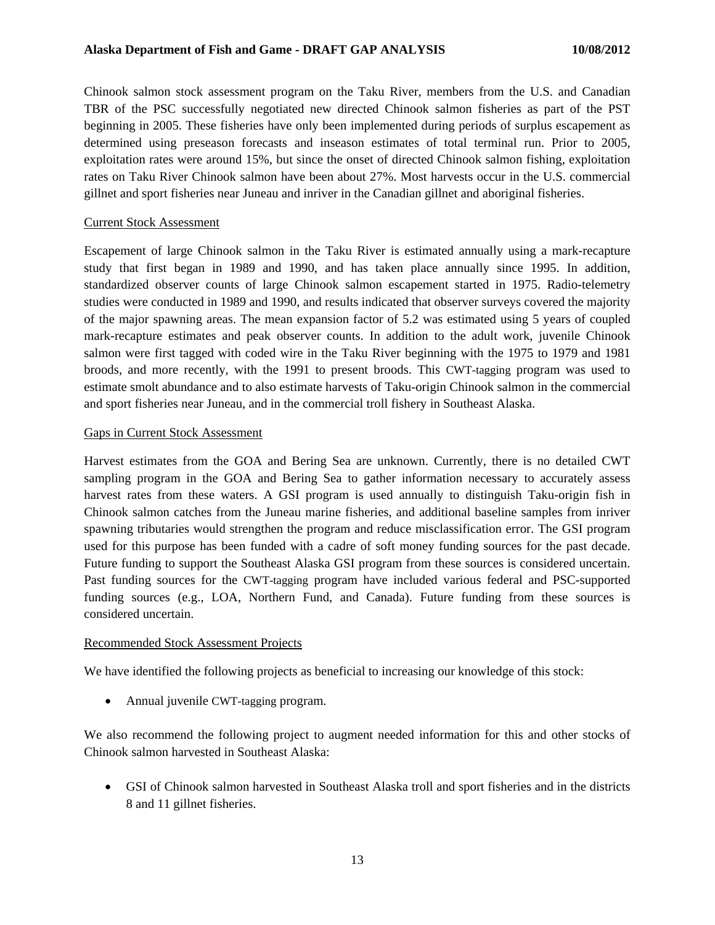Chinook salmon stock assessment program on the Taku River, members from the U.S. and Canadian TBR of the PSC successfully negotiated new directed Chinook salmon fisheries as part of the PST beginning in 2005. These fisheries have only been implemented during periods of surplus escapement as determined using preseason forecasts and inseason estimates of total terminal run. Prior to 2005, exploitation rates were around 15%, but since the onset of directed Chinook salmon fishing, exploitation rates on Taku River Chinook salmon have been about 27%. Most harvests occur in the U.S. commercial gillnet and sport fisheries near Juneau and inriver in the Canadian gillnet and aboriginal fisheries.

#### Current Stock Assessment

Escapement of large Chinook salmon in the Taku River is estimated annually using a mark-recapture study that first began in 1989 and 1990, and has taken place annually since 1995. In addition, standardized observer counts of large Chinook salmon escapement started in 1975. Radio-telemetry studies were conducted in 1989 and 1990, and results indicated that observer surveys covered the majority of the major spawning areas. The mean expansion factor of 5.2 was estimated using 5 years of coupled mark-recapture estimates and peak observer counts. In addition to the adult work, juvenile Chinook salmon were first tagged with coded wire in the Taku River beginning with the 1975 to 1979 and 1981 broods, and more recently, with the 1991 to present broods. This CWT-tagging program was used to estimate smolt abundance and to also estimate harvests of Taku-origin Chinook salmon in the commercial and sport fisheries near Juneau, and in the commercial troll fishery in Southeast Alaska.

### Gaps in Current Stock Assessment

Harvest estimates from the GOA and Bering Sea are unknown. Currently, there is no detailed CWT sampling program in the GOA and Bering Sea to gather information necessary to accurately assess harvest rates from these waters. A GSI program is used annually to distinguish Taku-origin fish in Chinook salmon catches from the Juneau marine fisheries, and additional baseline samples from inriver spawning tributaries would strengthen the program and reduce misclassification error. The GSI program used for this purpose has been funded with a cadre of soft money funding sources for the past decade. Future funding to support the Southeast Alaska GSI program from these sources is considered uncertain. Past funding sources for the CWT-tagging program have included various federal and PSC-supported funding sources (e.g., LOA, Northern Fund, and Canada). Future funding from these sources is considered uncertain.

#### Recommended Stock Assessment Projects

We have identified the following projects as beneficial to increasing our knowledge of this stock:

• Annual juvenile CWT-tagging program.

We also recommend the following project to augment needed information for this and other stocks of Chinook salmon harvested in Southeast Alaska:

• GSI of Chinook salmon harvested in Southeast Alaska troll and sport fisheries and in the districts 8 and 11 gillnet fisheries.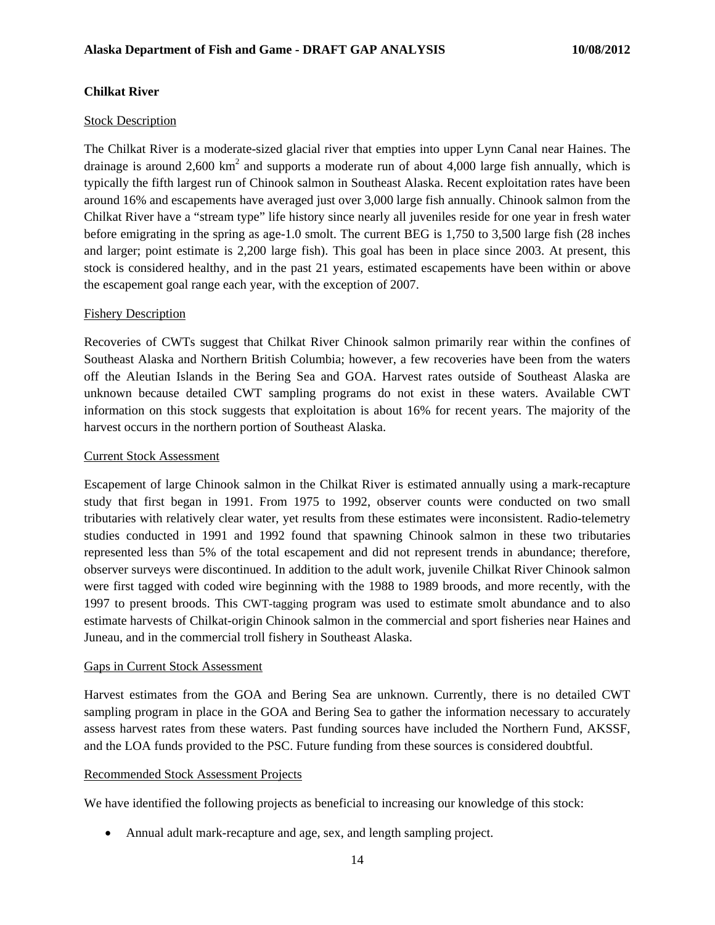### **Chilkat River**

#### Stock Description

The Chilkat River is a moderate-sized glacial river that empties into upper Lynn Canal near Haines. The drainage is around 2,600 km<sup>2</sup> and supports a moderate run of about 4,000 large fish annually, which is typically the fifth largest run of Chinook salmon in Southeast Alaska. Recent exploitation rates have been around 16% and escapements have averaged just over 3,000 large fish annually. Chinook salmon from the Chilkat River have a "stream type" life history since nearly all juveniles reside for one year in fresh water before emigrating in the spring as age-1.0 smolt. The current BEG is 1,750 to 3,500 large fish (28 inches and larger; point estimate is 2,200 large fish). This goal has been in place since 2003. At present, this stock is considered healthy, and in the past 21 years, estimated escapements have been within or above the escapement goal range each year, with the exception of 2007.

#### Fishery Description

Recoveries of CWTs suggest that Chilkat River Chinook salmon primarily rear within the confines of Southeast Alaska and Northern British Columbia; however, a few recoveries have been from the waters off the Aleutian Islands in the Bering Sea and GOA. Harvest rates outside of Southeast Alaska are unknown because detailed CWT sampling programs do not exist in these waters. Available CWT information on this stock suggests that exploitation is about 16% for recent years. The majority of the harvest occurs in the northern portion of Southeast Alaska.

#### Current Stock Assessment

Escapement of large Chinook salmon in the Chilkat River is estimated annually using a mark-recapture study that first began in 1991. From 1975 to 1992, observer counts were conducted on two small tributaries with relatively clear water, yet results from these estimates were inconsistent. Radio-telemetry studies conducted in 1991 and 1992 found that spawning Chinook salmon in these two tributaries represented less than 5% of the total escapement and did not represent trends in abundance; therefore, observer surveys were discontinued. In addition to the adult work, juvenile Chilkat River Chinook salmon were first tagged with coded wire beginning with the 1988 to 1989 broods, and more recently, with the 1997 to present broods. This CWT-tagging program was used to estimate smolt abundance and to also estimate harvests of Chilkat-origin Chinook salmon in the commercial and sport fisheries near Haines and Juneau, and in the commercial troll fishery in Southeast Alaska.

#### Gaps in Current Stock Assessment

Harvest estimates from the GOA and Bering Sea are unknown. Currently, there is no detailed CWT sampling program in place in the GOA and Bering Sea to gather the information necessary to accurately assess harvest rates from these waters. Past funding sources have included the Northern Fund, AKSSF, and the LOA funds provided to the PSC. Future funding from these sources is considered doubtful.

#### Recommended Stock Assessment Projects

We have identified the following projects as beneficial to increasing our knowledge of this stock:

• Annual adult mark-recapture and age, sex, and length sampling project.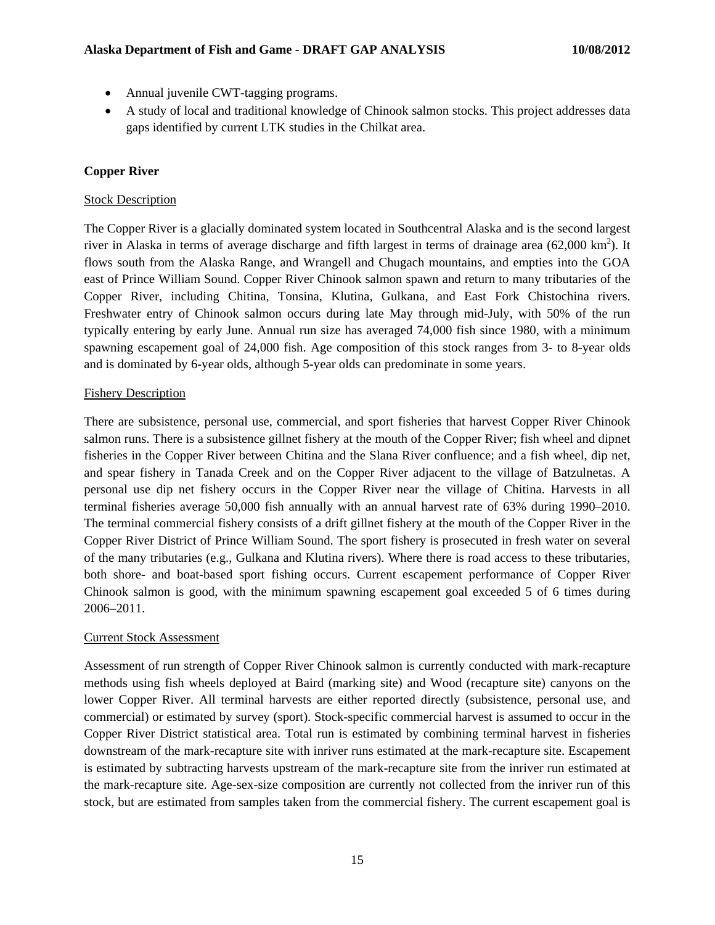- Annual juvenile CWT-tagging programs.
- A study of local and traditional knowledge of Chinook salmon stocks. This project addresses data gaps identified by current LTK studies in the Chilkat area.

# **Copper River**

## Stock Description

The Copper River is a glacially dominated system located in Southcentral Alaska and is the second largest river in Alaska in terms of average discharge and fifth largest in terms of drainage area  $(62,000 \text{ km}^2)$ . It flows south from the Alaska Range, and Wrangell and Chugach mountains, and empties into the GOA east of Prince William Sound. Copper River Chinook salmon spawn and return to many tributaries of the Copper River, including Chitina, Tonsina, Klutina, Gulkana, and East Fork Chistochina rivers. Freshwater entry of Chinook salmon occurs during late May through mid-July, with 50% of the run typically entering by early June. Annual run size has averaged 74,000 fish since 1980, with a minimum spawning escapement goal of 24,000 fish. Age composition of this stock ranges from 3- to 8-year olds and is dominated by 6-year olds, although 5-year olds can predominate in some years.

## Fishery Description

There are subsistence, personal use, commercial, and sport fisheries that harvest Copper River Chinook salmon runs. There is a subsistence gillnet fishery at the mouth of the Copper River; fish wheel and dipnet fisheries in the Copper River between Chitina and the Slana River confluence; and a fish wheel, dip net, and spear fishery in Tanada Creek and on the Copper River adjacent to the village of Batzulnetas. A personal use dip net fishery occurs in the Copper River near the village of Chitina. Harvests in all terminal fisheries average 50,000 fish annually with an annual harvest rate of 63% during 1990–2010. The terminal commercial fishery consists of a drift gillnet fishery at the mouth of the Copper River in the Copper River District of Prince William Sound. The sport fishery is prosecuted in fresh water on several of the many tributaries (e.g., Gulkana and Klutina rivers). Where there is road access to these tributaries, both shore- and boat-based sport fishing occurs. Current escapement performance of Copper River Chinook salmon is good, with the minimum spawning escapement goal exceeded 5 of 6 times during 2006–2011.

## Current Stock Assessment

Assessment of run strength of Copper River Chinook salmon is currently conducted with mark-recapture methods using fish wheels deployed at Baird (marking site) and Wood (recapture site) canyons on the lower Copper River. All terminal harvests are either reported directly (subsistence, personal use, and commercial) or estimated by survey (sport). Stock-specific commercial harvest is assumed to occur in the Copper River District statistical area. Total run is estimated by combining terminal harvest in fisheries downstream of the mark-recapture site with inriver runs estimated at the mark-recapture site. Escapement is estimated by subtracting harvests upstream of the mark-recapture site from the inriver run estimated at the mark-recapture site. Age-sex-size composition are currently not collected from the inriver run of this stock, but are estimated from samples taken from the commercial fishery. The current escapement goal is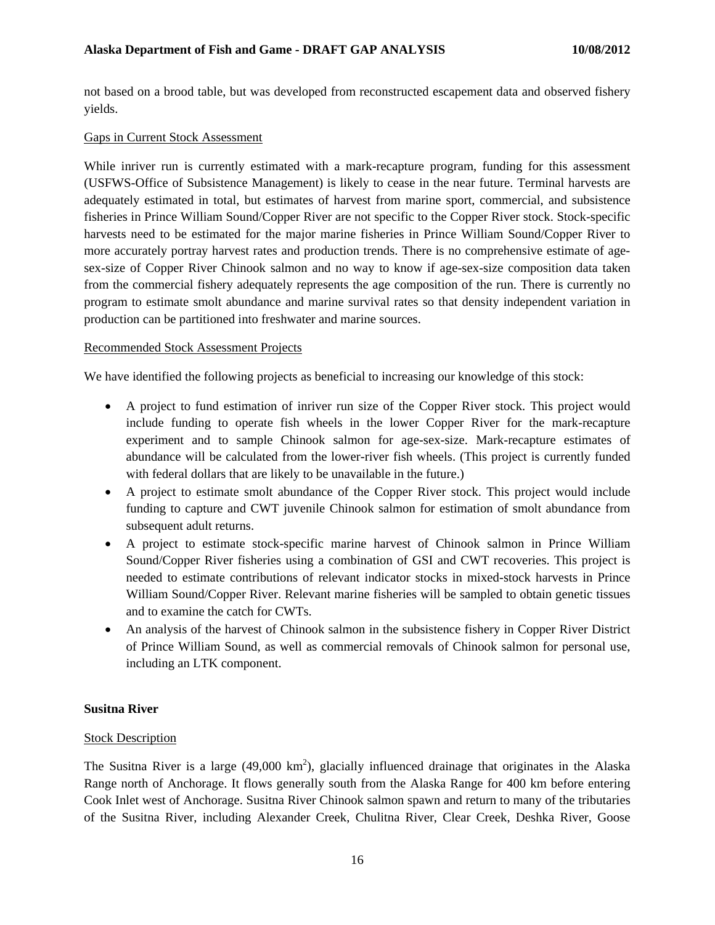not based on a brood table, but was developed from reconstructed escapement data and observed fishery yields.

### Gaps in Current Stock Assessment

While inriver run is currently estimated with a mark-recapture program, funding for this assessment (USFWS-Office of Subsistence Management) is likely to cease in the near future. Terminal harvests are adequately estimated in total, but estimates of harvest from marine sport, commercial, and subsistence fisheries in Prince William Sound/Copper River are not specific to the Copper River stock. Stock-specific harvests need to be estimated for the major marine fisheries in Prince William Sound/Copper River to more accurately portray harvest rates and production trends. There is no comprehensive estimate of agesex-size of Copper River Chinook salmon and no way to know if age-sex-size composition data taken from the commercial fishery adequately represents the age composition of the run. There is currently no program to estimate smolt abundance and marine survival rates so that density independent variation in production can be partitioned into freshwater and marine sources.

#### Recommended Stock Assessment Projects

We have identified the following projects as beneficial to increasing our knowledge of this stock:

- A project to fund estimation of inriver run size of the Copper River stock. This project would include funding to operate fish wheels in the lower Copper River for the mark-recapture experiment and to sample Chinook salmon for age-sex-size. Mark-recapture estimates of abundance will be calculated from the lower-river fish wheels. (This project is currently funded with federal dollars that are likely to be unavailable in the future.)
- A project to estimate smolt abundance of the Copper River stock. This project would include funding to capture and CWT juvenile Chinook salmon for estimation of smolt abundance from subsequent adult returns.
- A project to estimate stock-specific marine harvest of Chinook salmon in Prince William Sound/Copper River fisheries using a combination of GSI and CWT recoveries. This project is needed to estimate contributions of relevant indicator stocks in mixed-stock harvests in Prince William Sound/Copper River. Relevant marine fisheries will be sampled to obtain genetic tissues and to examine the catch for CWTs.
- An analysis of the harvest of Chinook salmon in the subsistence fishery in Copper River District of Prince William Sound, as well as commercial removals of Chinook salmon for personal use, including an LTK component.

#### **Susitna River**

#### **Stock Description**

The Susitna River is a large (49,000  $\text{km}^2$ ), glacially influenced drainage that originates in the Alaska Range north of Anchorage. It flows generally south from the Alaska Range for 400 km before entering Cook Inlet west of Anchorage. Susitna River Chinook salmon spawn and return to many of the tributaries of the Susitna River, including Alexander Creek, Chulitna River, Clear Creek, Deshka River, Goose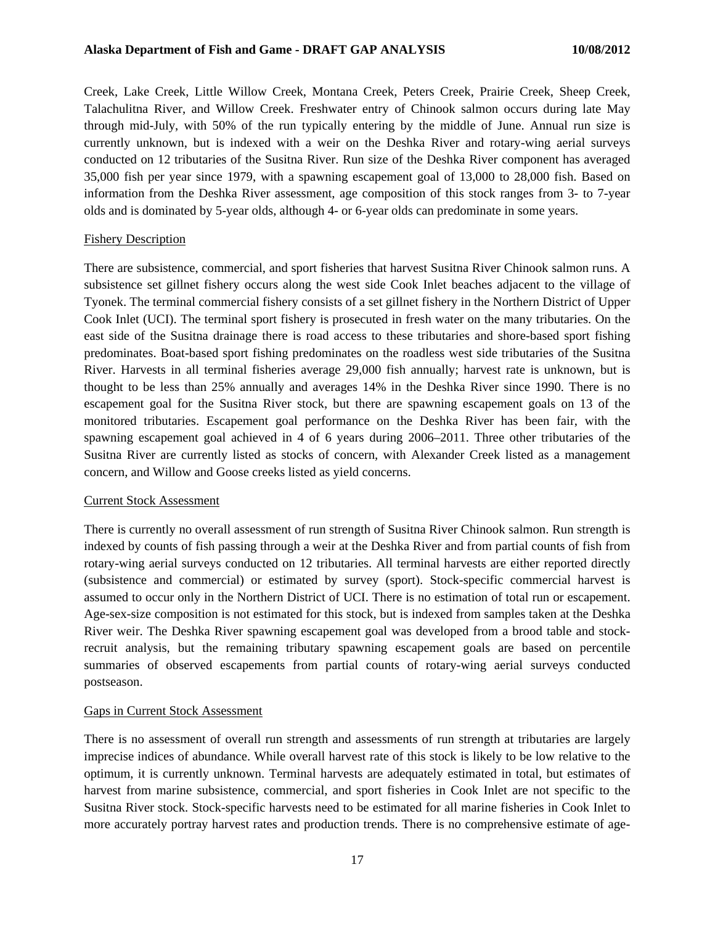Creek, Lake Creek, Little Willow Creek, Montana Creek, Peters Creek, Prairie Creek, Sheep Creek, Talachulitna River, and Willow Creek. Freshwater entry of Chinook salmon occurs during late May through mid-July, with 50% of the run typically entering by the middle of June. Annual run size is currently unknown, but is indexed with a weir on the Deshka River and rotary-wing aerial surveys conducted on 12 tributaries of the Susitna River. Run size of the Deshka River component has averaged 35,000 fish per year since 1979, with a spawning escapement goal of 13,000 to 28,000 fish. Based on information from the Deshka River assessment, age composition of this stock ranges from 3- to 7-year olds and is dominated by 5-year olds, although 4- or 6-year olds can predominate in some years.

#### Fishery Description

There are subsistence, commercial, and sport fisheries that harvest Susitna River Chinook salmon runs. A subsistence set gillnet fishery occurs along the west side Cook Inlet beaches adjacent to the village of Tyonek. The terminal commercial fishery consists of a set gillnet fishery in the Northern District of Upper Cook Inlet (UCI). The terminal sport fishery is prosecuted in fresh water on the many tributaries. On the east side of the Susitna drainage there is road access to these tributaries and shore-based sport fishing predominates. Boat-based sport fishing predominates on the roadless west side tributaries of the Susitna River. Harvests in all terminal fisheries average 29,000 fish annually; harvest rate is unknown, but is thought to be less than 25% annually and averages 14% in the Deshka River since 1990. There is no escapement goal for the Susitna River stock, but there are spawning escapement goals on 13 of the monitored tributaries. Escapement goal performance on the Deshka River has been fair, with the spawning escapement goal achieved in 4 of 6 years during 2006–2011. Three other tributaries of the Susitna River are currently listed as stocks of concern, with Alexander Creek listed as a management concern, and Willow and Goose creeks listed as yield concerns.

### Current Stock Assessment

There is currently no overall assessment of run strength of Susitna River Chinook salmon. Run strength is indexed by counts of fish passing through a weir at the Deshka River and from partial counts of fish from rotary-wing aerial surveys conducted on 12 tributaries. All terminal harvests are either reported directly (subsistence and commercial) or estimated by survey (sport). Stock-specific commercial harvest is assumed to occur only in the Northern District of UCI. There is no estimation of total run or escapement. Age-sex-size composition is not estimated for this stock, but is indexed from samples taken at the Deshka River weir. The Deshka River spawning escapement goal was developed from a brood table and stockrecruit analysis, but the remaining tributary spawning escapement goals are based on percentile summaries of observed escapements from partial counts of rotary-wing aerial surveys conducted postseason.

### Gaps in Current Stock Assessment

There is no assessment of overall run strength and assessments of run strength at tributaries are largely imprecise indices of abundance. While overall harvest rate of this stock is likely to be low relative to the optimum, it is currently unknown. Terminal harvests are adequately estimated in total, but estimates of harvest from marine subsistence, commercial, and sport fisheries in Cook Inlet are not specific to the Susitna River stock. Stock-specific harvests need to be estimated for all marine fisheries in Cook Inlet to more accurately portray harvest rates and production trends. There is no comprehensive estimate of age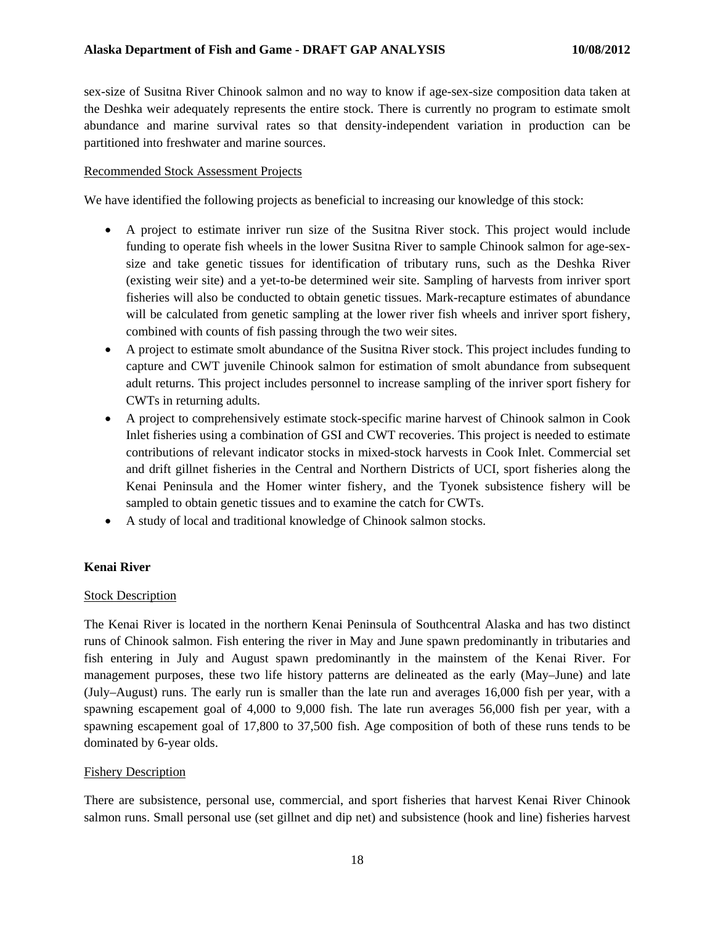sex-size of Susitna River Chinook salmon and no way to know if age-sex-size composition data taken at the Deshka weir adequately represents the entire stock. There is currently no program to estimate smolt abundance and marine survival rates so that density-independent variation in production can be partitioned into freshwater and marine sources.

### Recommended Stock Assessment Projects

We have identified the following projects as beneficial to increasing our knowledge of this stock:

- A project to estimate inriver run size of the Susitna River stock. This project would include funding to operate fish wheels in the lower Susitna River to sample Chinook salmon for age-sexsize and take genetic tissues for identification of tributary runs, such as the Deshka River (existing weir site) and a yet-to-be determined weir site. Sampling of harvests from inriver sport fisheries will also be conducted to obtain genetic tissues. Mark-recapture estimates of abundance will be calculated from genetic sampling at the lower river fish wheels and inriver sport fishery, combined with counts of fish passing through the two weir sites.
- A project to estimate smolt abundance of the Susitna River stock. This project includes funding to capture and CWT juvenile Chinook salmon for estimation of smolt abundance from subsequent adult returns. This project includes personnel to increase sampling of the inriver sport fishery for CWTs in returning adults.
- A project to comprehensively estimate stock-specific marine harvest of Chinook salmon in Cook Inlet fisheries using a combination of GSI and CWT recoveries. This project is needed to estimate contributions of relevant indicator stocks in mixed-stock harvests in Cook Inlet. Commercial set and drift gillnet fisheries in the Central and Northern Districts of UCI, sport fisheries along the Kenai Peninsula and the Homer winter fishery, and the Tyonek subsistence fishery will be sampled to obtain genetic tissues and to examine the catch for CWTs.
- A study of local and traditional knowledge of Chinook salmon stocks.

## **Kenai River**

## **Stock Description**

The Kenai River is located in the northern Kenai Peninsula of Southcentral Alaska and has two distinct runs of Chinook salmon. Fish entering the river in May and June spawn predominantly in tributaries and fish entering in July and August spawn predominantly in the mainstem of the Kenai River. For management purposes, these two life history patterns are delineated as the early (May–June) and late (July–August) runs. The early run is smaller than the late run and averages 16,000 fish per year, with a spawning escapement goal of 4,000 to 9,000 fish. The late run averages 56,000 fish per year, with a spawning escapement goal of 17,800 to 37,500 fish. Age composition of both of these runs tends to be dominated by 6-year olds.

#### Fishery Description

There are subsistence, personal use, commercial, and sport fisheries that harvest Kenai River Chinook salmon runs. Small personal use (set gillnet and dip net) and subsistence (hook and line) fisheries harvest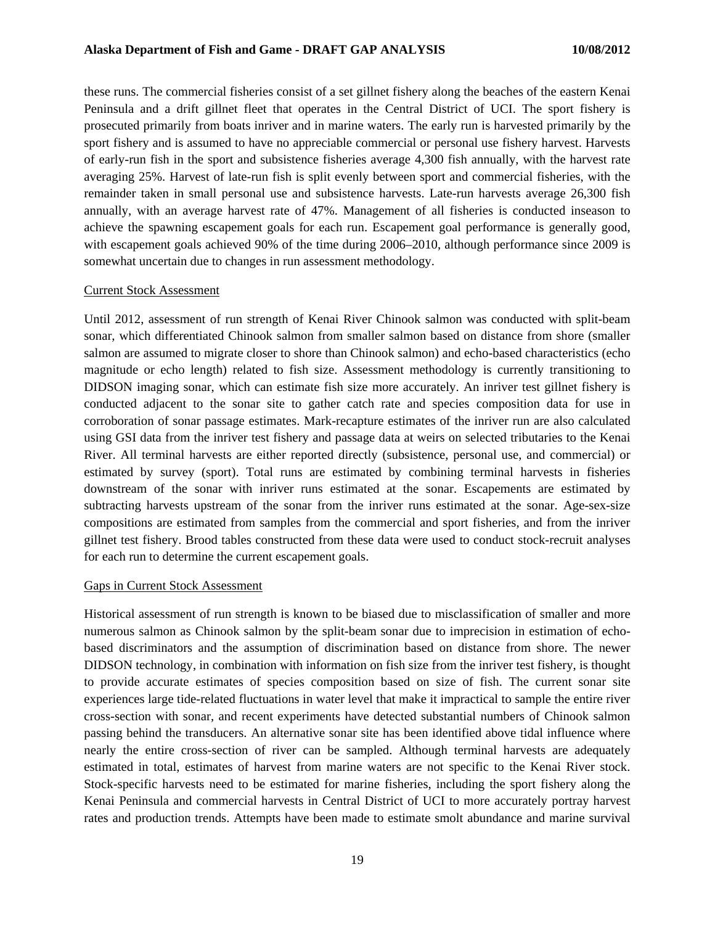these runs. The commercial fisheries consist of a set gillnet fishery along the beaches of the eastern Kenai Peninsula and a drift gillnet fleet that operates in the Central District of UCI. The sport fishery is prosecuted primarily from boats inriver and in marine waters. The early run is harvested primarily by the sport fishery and is assumed to have no appreciable commercial or personal use fishery harvest. Harvests of early-run fish in the sport and subsistence fisheries average 4,300 fish annually, with the harvest rate averaging 25%. Harvest of late-run fish is split evenly between sport and commercial fisheries, with the remainder taken in small personal use and subsistence harvests. Late-run harvests average 26,300 fish annually, with an average harvest rate of 47%. Management of all fisheries is conducted inseason to achieve the spawning escapement goals for each run. Escapement goal performance is generally good, with escapement goals achieved 90% of the time during 2006–2010, although performance since 2009 is somewhat uncertain due to changes in run assessment methodology.

#### Current Stock Assessment

Until 2012, assessment of run strength of Kenai River Chinook salmon was conducted with split-beam sonar, which differentiated Chinook salmon from smaller salmon based on distance from shore (smaller salmon are assumed to migrate closer to shore than Chinook salmon) and echo-based characteristics (echo magnitude or echo length) related to fish size. Assessment methodology is currently transitioning to DIDSON imaging sonar, which can estimate fish size more accurately. An inriver test gillnet fishery is conducted adjacent to the sonar site to gather catch rate and species composition data for use in corroboration of sonar passage estimates. Mark-recapture estimates of the inriver run are also calculated using GSI data from the inriver test fishery and passage data at weirs on selected tributaries to the Kenai River. All terminal harvests are either reported directly (subsistence, personal use, and commercial) or estimated by survey (sport). Total runs are estimated by combining terminal harvests in fisheries downstream of the sonar with inriver runs estimated at the sonar. Escapements are estimated by subtracting harvests upstream of the sonar from the inriver runs estimated at the sonar. Age-sex-size compositions are estimated from samples from the commercial and sport fisheries, and from the inriver gillnet test fishery. Brood tables constructed from these data were used to conduct stock-recruit analyses for each run to determine the current escapement goals.

#### Gaps in Current Stock Assessment

Historical assessment of run strength is known to be biased due to misclassification of smaller and more numerous salmon as Chinook salmon by the split-beam sonar due to imprecision in estimation of echobased discriminators and the assumption of discrimination based on distance from shore. The newer DIDSON technology, in combination with information on fish size from the inriver test fishery, is thought to provide accurate estimates of species composition based on size of fish. The current sonar site experiences large tide-related fluctuations in water level that make it impractical to sample the entire river cross-section with sonar, and recent experiments have detected substantial numbers of Chinook salmon passing behind the transducers. An alternative sonar site has been identified above tidal influence where nearly the entire cross-section of river can be sampled. Although terminal harvests are adequately estimated in total, estimates of harvest from marine waters are not specific to the Kenai River stock. Stock-specific harvests need to be estimated for marine fisheries, including the sport fishery along the Kenai Peninsula and commercial harvests in Central District of UCI to more accurately portray harvest rates and production trends. Attempts have been made to estimate smolt abundance and marine survival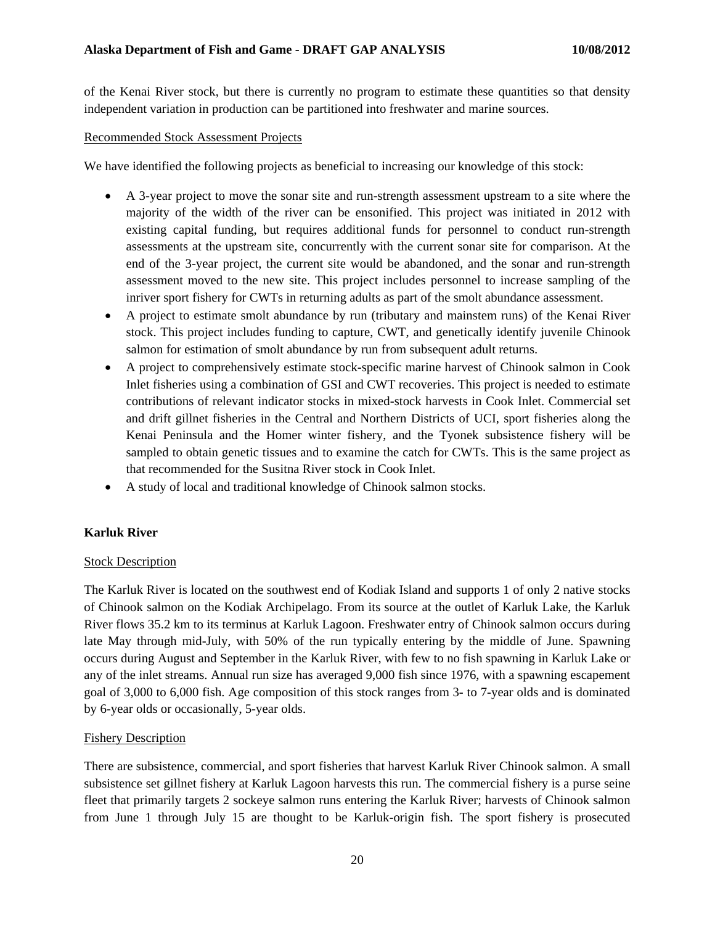of the Kenai River stock, but there is currently no program to estimate these quantities so that density independent variation in production can be partitioned into freshwater and marine sources.

### Recommended Stock Assessment Projects

We have identified the following projects as beneficial to increasing our knowledge of this stock:

- A 3-year project to move the sonar site and run-strength assessment upstream to a site where the majority of the width of the river can be ensonified. This project was initiated in 2012 with existing capital funding, but requires additional funds for personnel to conduct run-strength assessments at the upstream site, concurrently with the current sonar site for comparison. At the end of the 3-year project, the current site would be abandoned, and the sonar and run-strength assessment moved to the new site. This project includes personnel to increase sampling of the inriver sport fishery for CWTs in returning adults as part of the smolt abundance assessment.
- A project to estimate smolt abundance by run (tributary and mainstem runs) of the Kenai River stock. This project includes funding to capture, CWT, and genetically identify juvenile Chinook salmon for estimation of smolt abundance by run from subsequent adult returns.
- A project to comprehensively estimate stock-specific marine harvest of Chinook salmon in Cook Inlet fisheries using a combination of GSI and CWT recoveries. This project is needed to estimate contributions of relevant indicator stocks in mixed-stock harvests in Cook Inlet. Commercial set and drift gillnet fisheries in the Central and Northern Districts of UCI, sport fisheries along the Kenai Peninsula and the Homer winter fishery, and the Tyonek subsistence fishery will be sampled to obtain genetic tissues and to examine the catch for CWTs. This is the same project as that recommended for the Susitna River stock in Cook Inlet.
- A study of local and traditional knowledge of Chinook salmon stocks.

## **Karluk River**

#### Stock Description

The Karluk River is located on the southwest end of Kodiak Island and supports 1 of only 2 native stocks of Chinook salmon on the Kodiak Archipelago. From its source at the outlet of Karluk Lake, the Karluk River flows 35.2 km to its terminus at Karluk Lagoon. Freshwater entry of Chinook salmon occurs during late May through mid-July, with 50% of the run typically entering by the middle of June. Spawning occurs during August and September in the Karluk River, with few to no fish spawning in Karluk Lake or any of the inlet streams. Annual run size has averaged 9,000 fish since 1976, with a spawning escapement goal of 3,000 to 6,000 fish. Age composition of this stock ranges from 3- to 7-year olds and is dominated by 6-year olds or occasionally, 5-year olds.

## Fishery Description

There are subsistence, commercial, and sport fisheries that harvest Karluk River Chinook salmon. A small subsistence set gillnet fishery at Karluk Lagoon harvests this run. The commercial fishery is a purse seine fleet that primarily targets 2 sockeye salmon runs entering the Karluk River; harvests of Chinook salmon from June 1 through July 15 are thought to be Karluk-origin fish. The sport fishery is prosecuted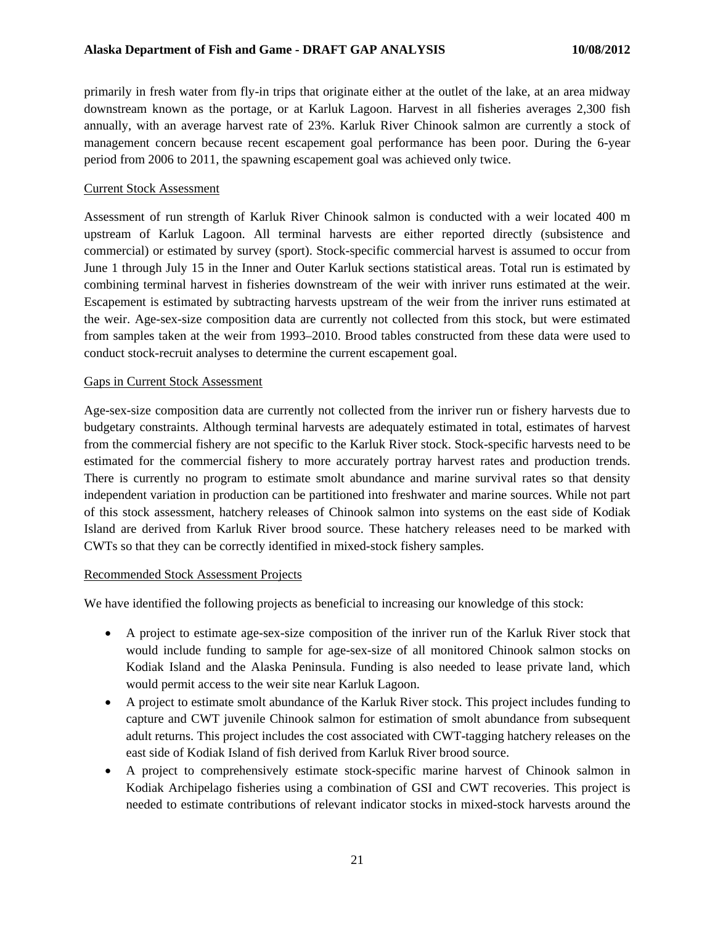primarily in fresh water from fly-in trips that originate either at the outlet of the lake, at an area midway downstream known as the portage, or at Karluk Lagoon. Harvest in all fisheries averages 2,300 fish annually, with an average harvest rate of 23%. Karluk River Chinook salmon are currently a stock of management concern because recent escapement goal performance has been poor. During the 6-year period from 2006 to 2011, the spawning escapement goal was achieved only twice.

### Current Stock Assessment

Assessment of run strength of Karluk River Chinook salmon is conducted with a weir located 400 m upstream of Karluk Lagoon. All terminal harvests are either reported directly (subsistence and commercial) or estimated by survey (sport). Stock-specific commercial harvest is assumed to occur from June 1 through July 15 in the Inner and Outer Karluk sections statistical areas. Total run is estimated by combining terminal harvest in fisheries downstream of the weir with inriver runs estimated at the weir. Escapement is estimated by subtracting harvests upstream of the weir from the inriver runs estimated at the weir. Age-sex-size composition data are currently not collected from this stock, but were estimated from samples taken at the weir from 1993–2010. Brood tables constructed from these data were used to conduct stock-recruit analyses to determine the current escapement goal.

### Gaps in Current Stock Assessment

Age-sex-size composition data are currently not collected from the inriver run or fishery harvests due to budgetary constraints. Although terminal harvests are adequately estimated in total, estimates of harvest from the commercial fishery are not specific to the Karluk River stock. Stock-specific harvests need to be estimated for the commercial fishery to more accurately portray harvest rates and production trends. There is currently no program to estimate smolt abundance and marine survival rates so that density independent variation in production can be partitioned into freshwater and marine sources. While not part of this stock assessment, hatchery releases of Chinook salmon into systems on the east side of Kodiak Island are derived from Karluk River brood source. These hatchery releases need to be marked with CWTs so that they can be correctly identified in mixed-stock fishery samples.

### Recommended Stock Assessment Projects

We have identified the following projects as beneficial to increasing our knowledge of this stock:

- A project to estimate age-sex-size composition of the inriver run of the Karluk River stock that would include funding to sample for age-sex-size of all monitored Chinook salmon stocks on Kodiak Island and the Alaska Peninsula. Funding is also needed to lease private land, which would permit access to the weir site near Karluk Lagoon.
- A project to estimate smolt abundance of the Karluk River stock. This project includes funding to capture and CWT juvenile Chinook salmon for estimation of smolt abundance from subsequent adult returns. This project includes the cost associated with CWT-tagging hatchery releases on the east side of Kodiak Island of fish derived from Karluk River brood source.
- A project to comprehensively estimate stock-specific marine harvest of Chinook salmon in Kodiak Archipelago fisheries using a combination of GSI and CWT recoveries. This project is needed to estimate contributions of relevant indicator stocks in mixed-stock harvests around the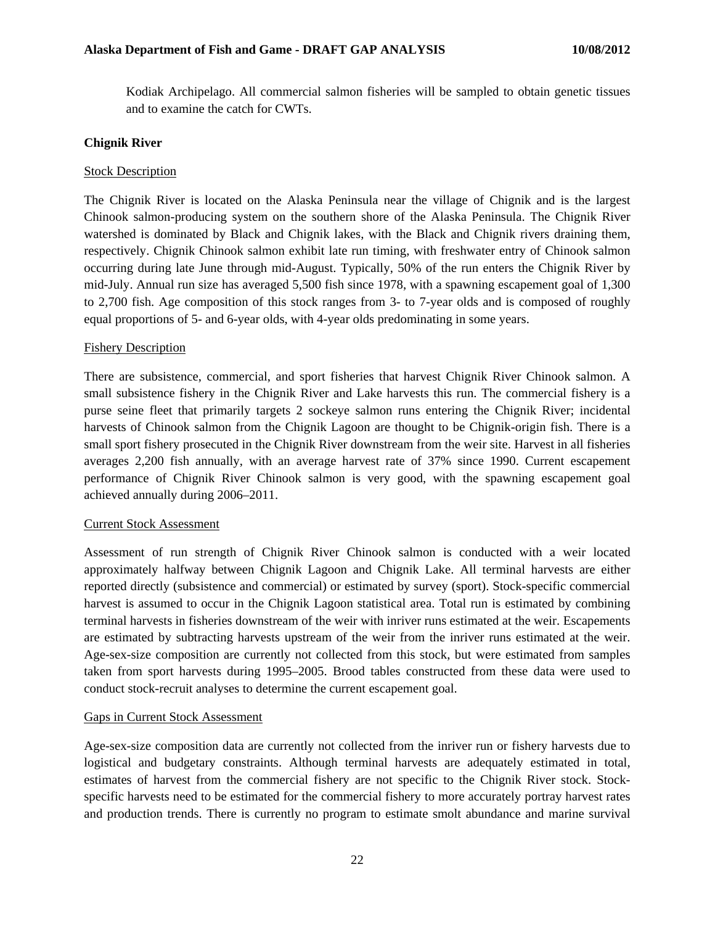Kodiak Archipelago. All commercial salmon fisheries will be sampled to obtain genetic tissues and to examine the catch for CWTs.

### **Chignik River**

#### Stock Description

The Chignik River is located on the Alaska Peninsula near the village of Chignik and is the largest Chinook salmon-producing system on the southern shore of the Alaska Peninsula. The Chignik River watershed is dominated by Black and Chignik lakes, with the Black and Chignik rivers draining them, respectively. Chignik Chinook salmon exhibit late run timing, with freshwater entry of Chinook salmon occurring during late June through mid-August. Typically, 50% of the run enters the Chignik River by mid-July. Annual run size has averaged 5,500 fish since 1978, with a spawning escapement goal of 1,300 to 2,700 fish. Age composition of this stock ranges from 3- to 7-year olds and is composed of roughly equal proportions of 5- and 6-year olds, with 4-year olds predominating in some years.

#### Fishery Description

There are subsistence, commercial, and sport fisheries that harvest Chignik River Chinook salmon. A small subsistence fishery in the Chignik River and Lake harvests this run. The commercial fishery is a purse seine fleet that primarily targets 2 sockeye salmon runs entering the Chignik River; incidental harvests of Chinook salmon from the Chignik Lagoon are thought to be Chignik-origin fish. There is a small sport fishery prosecuted in the Chignik River downstream from the weir site. Harvest in all fisheries averages 2,200 fish annually, with an average harvest rate of 37% since 1990. Current escapement performance of Chignik River Chinook salmon is very good, with the spawning escapement goal achieved annually during 2006–2011.

#### Current Stock Assessment

Assessment of run strength of Chignik River Chinook salmon is conducted with a weir located approximately halfway between Chignik Lagoon and Chignik Lake. All terminal harvests are either reported directly (subsistence and commercial) or estimated by survey (sport). Stock-specific commercial harvest is assumed to occur in the Chignik Lagoon statistical area. Total run is estimated by combining terminal harvests in fisheries downstream of the weir with inriver runs estimated at the weir. Escapements are estimated by subtracting harvests upstream of the weir from the inriver runs estimated at the weir. Age-sex-size composition are currently not collected from this stock, but were estimated from samples taken from sport harvests during 1995–2005. Brood tables constructed from these data were used to conduct stock-recruit analyses to determine the current escapement goal.

#### Gaps in Current Stock Assessment

Age-sex-size composition data are currently not collected from the inriver run or fishery harvests due to logistical and budgetary constraints. Although terminal harvests are adequately estimated in total, estimates of harvest from the commercial fishery are not specific to the Chignik River stock. Stockspecific harvests need to be estimated for the commercial fishery to more accurately portray harvest rates and production trends. There is currently no program to estimate smolt abundance and marine survival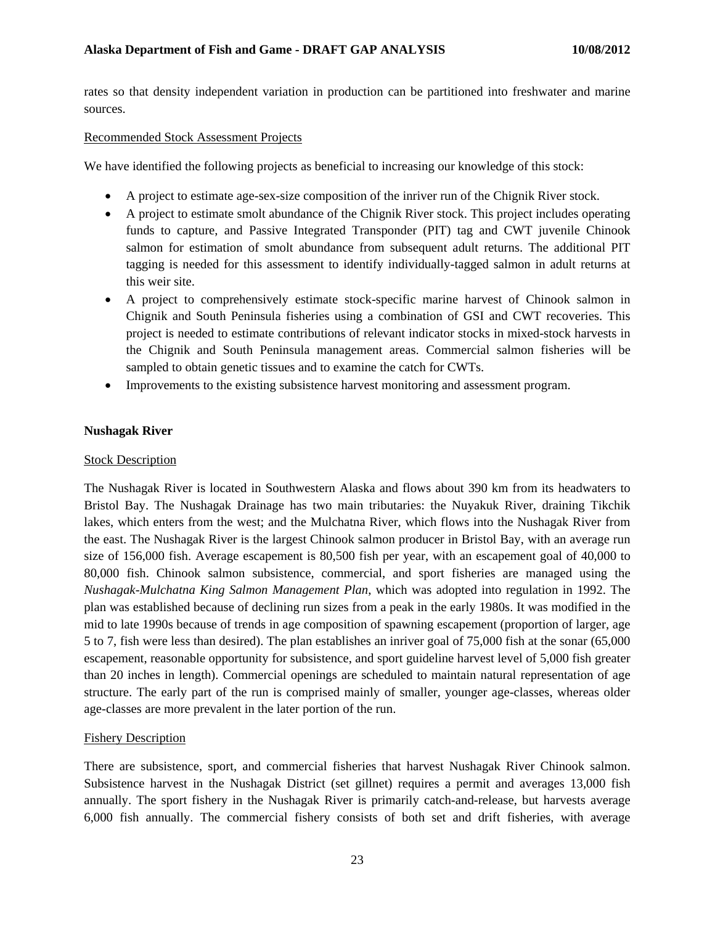rates so that density independent variation in production can be partitioned into freshwater and marine sources.

#### Recommended Stock Assessment Projects

We have identified the following projects as beneficial to increasing our knowledge of this stock:

- A project to estimate age-sex-size composition of the inriver run of the Chignik River stock.
- A project to estimate smolt abundance of the Chignik River stock. This project includes operating funds to capture, and Passive Integrated Transponder (PIT) tag and CWT juvenile Chinook salmon for estimation of smolt abundance from subsequent adult returns. The additional PIT tagging is needed for this assessment to identify individually-tagged salmon in adult returns at this weir site.
- A project to comprehensively estimate stock-specific marine harvest of Chinook salmon in Chignik and South Peninsula fisheries using a combination of GSI and CWT recoveries. This project is needed to estimate contributions of relevant indicator stocks in mixed-stock harvests in the Chignik and South Peninsula management areas. Commercial salmon fisheries will be sampled to obtain genetic tissues and to examine the catch for CWTs.
- Improvements to the existing subsistence harvest monitoring and assessment program.

### **Nushagak River**

#### Stock Description

The Nushagak River is located in Southwestern Alaska and flows about 390 km from its headwaters to Bristol Bay. The Nushagak Drainage has two main tributaries: the Nuyakuk River, draining Tikchik lakes, which enters from the west; and the Mulchatna River, which flows into the Nushagak River from the east. The Nushagak River is the largest Chinook salmon producer in Bristol Bay, with an average run size of 156,000 fish. Average escapement is 80,500 fish per year, with an escapement goal of 40,000 to 80,000 fish. Chinook salmon subsistence, commercial, and sport fisheries are managed using the *Nushagak-Mulchatna King Salmon Management Plan*, which was adopted into regulation in 1992. The plan was established because of declining run sizes from a peak in the early 1980s. It was modified in the mid to late 1990s because of trends in age composition of spawning escapement (proportion of larger, age 5 to 7, fish were less than desired). The plan establishes an inriver goal of 75,000 fish at the sonar (65,000 escapement, reasonable opportunity for subsistence, and sport guideline harvest level of 5,000 fish greater than 20 inches in length). Commercial openings are scheduled to maintain natural representation of age structure. The early part of the run is comprised mainly of smaller, younger age-classes, whereas older age-classes are more prevalent in the later portion of the run.

#### Fishery Description

There are subsistence, sport, and commercial fisheries that harvest Nushagak River Chinook salmon. Subsistence harvest in the Nushagak District (set gillnet) requires a permit and averages 13,000 fish annually. The sport fishery in the Nushagak River is primarily catch-and-release, but harvests average 6,000 fish annually. The commercial fishery consists of both set and drift fisheries, with average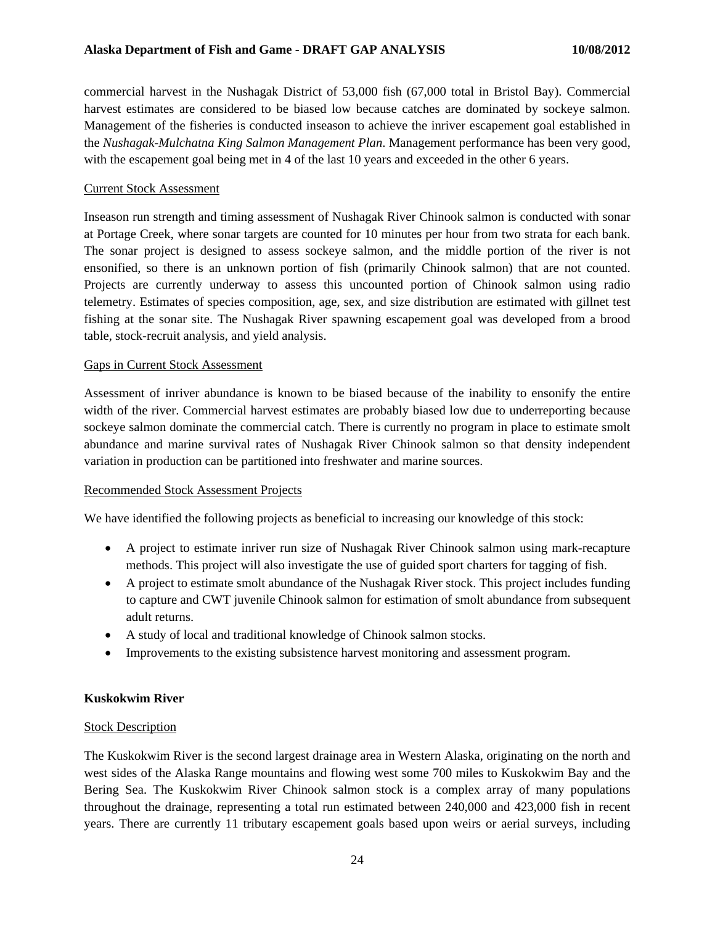commercial harvest in the Nushagak District of 53,000 fish (67,000 total in Bristol Bay). Commercial harvest estimates are considered to be biased low because catches are dominated by sockeye salmon. Management of the fisheries is conducted inseason to achieve the inriver escapement goal established in the *Nushagak-Mulchatna King Salmon Management Plan*. Management performance has been very good, with the escapement goal being met in 4 of the last 10 years and exceeded in the other 6 years.

### Current Stock Assessment

Inseason run strength and timing assessment of Nushagak River Chinook salmon is conducted with sonar at Portage Creek, where sonar targets are counted for 10 minutes per hour from two strata for each bank. The sonar project is designed to assess sockeye salmon, and the middle portion of the river is not ensonified, so there is an unknown portion of fish (primarily Chinook salmon) that are not counted. Projects are currently underway to assess this uncounted portion of Chinook salmon using radio telemetry. Estimates of species composition, age, sex, and size distribution are estimated with gillnet test fishing at the sonar site. The Nushagak River spawning escapement goal was developed from a brood table, stock-recruit analysis, and yield analysis.

### Gaps in Current Stock Assessment

Assessment of inriver abundance is known to be biased because of the inability to ensonify the entire width of the river. Commercial harvest estimates are probably biased low due to underreporting because sockeye salmon dominate the commercial catch. There is currently no program in place to estimate smolt abundance and marine survival rates of Nushagak River Chinook salmon so that density independent variation in production can be partitioned into freshwater and marine sources.

#### Recommended Stock Assessment Projects

We have identified the following projects as beneficial to increasing our knowledge of this stock:

- A project to estimate inriver run size of Nushagak River Chinook salmon using mark-recapture methods. This project will also investigate the use of guided sport charters for tagging of fish.
- A project to estimate smolt abundance of the Nushagak River stock. This project includes funding to capture and CWT juvenile Chinook salmon for estimation of smolt abundance from subsequent adult returns.
- A study of local and traditional knowledge of Chinook salmon stocks.
- Improvements to the existing subsistence harvest monitoring and assessment program.

## **Kuskokwim River**

## Stock Description

The Kuskokwim River is the second largest drainage area in Western Alaska, originating on the north and west sides of the Alaska Range mountains and flowing west some 700 miles to Kuskokwim Bay and the Bering Sea. The Kuskokwim River Chinook salmon stock is a complex array of many populations throughout the drainage, representing a total run estimated between 240,000 and 423,000 fish in recent years. There are currently 11 tributary escapement goals based upon weirs or aerial surveys, including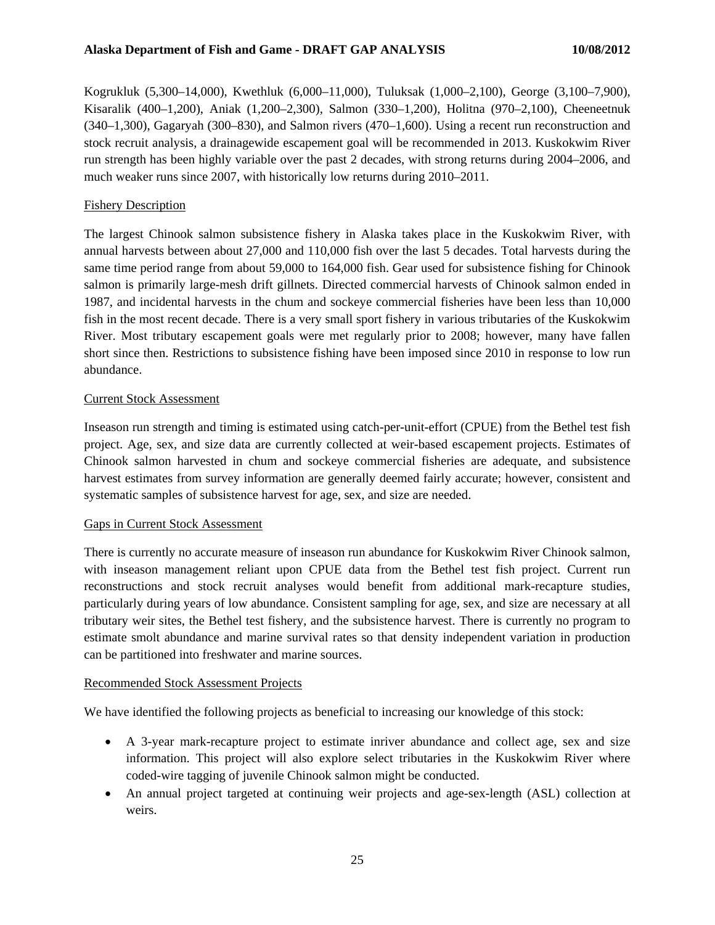Kogrukluk (5,300–14,000), Kwethluk (6,000–11,000), Tuluksak (1,000–2,100), George (3,100–7,900), Kisaralik (400–1,200), Aniak (1,200–2,300), Salmon (330–1,200), Holitna (970–2,100), Cheeneetnuk (340–1,300), Gagaryah (300–830), and Salmon rivers (470–1,600). Using a recent run reconstruction and stock recruit analysis, a drainagewide escapement goal will be recommended in 2013. Kuskokwim River run strength has been highly variable over the past 2 decades, with strong returns during 2004–2006, and much weaker runs since 2007, with historically low returns during 2010–2011.

### Fishery Description

The largest Chinook salmon subsistence fishery in Alaska takes place in the Kuskokwim River, with annual harvests between about 27,000 and 110,000 fish over the last 5 decades. Total harvests during the same time period range from about 59,000 to 164,000 fish. Gear used for subsistence fishing for Chinook salmon is primarily large-mesh drift gillnets. Directed commercial harvests of Chinook salmon ended in 1987, and incidental harvests in the chum and sockeye commercial fisheries have been less than 10,000 fish in the most recent decade. There is a very small sport fishery in various tributaries of the Kuskokwim River. Most tributary escapement goals were met regularly prior to 2008; however, many have fallen short since then. Restrictions to subsistence fishing have been imposed since 2010 in response to low run abundance.

### Current Stock Assessment

Inseason run strength and timing is estimated using catch-per-unit-effort (CPUE) from the Bethel test fish project. Age, sex, and size data are currently collected at weir-based escapement projects. Estimates of Chinook salmon harvested in chum and sockeye commercial fisheries are adequate, and subsistence harvest estimates from survey information are generally deemed fairly accurate; however, consistent and systematic samples of subsistence harvest for age, sex, and size are needed.

## Gaps in Current Stock Assessment

There is currently no accurate measure of inseason run abundance for Kuskokwim River Chinook salmon, with inseason management reliant upon CPUE data from the Bethel test fish project. Current run reconstructions and stock recruit analyses would benefit from additional mark-recapture studies, particularly during years of low abundance. Consistent sampling for age, sex, and size are necessary at all tributary weir sites, the Bethel test fishery, and the subsistence harvest. There is currently no program to estimate smolt abundance and marine survival rates so that density independent variation in production can be partitioned into freshwater and marine sources.

#### Recommended Stock Assessment Projects

We have identified the following projects as beneficial to increasing our knowledge of this stock:

- A 3-year mark-recapture project to estimate inriver abundance and collect age, sex and size information. This project will also explore select tributaries in the Kuskokwim River where coded-wire tagging of juvenile Chinook salmon might be conducted.
- An annual project targeted at continuing weir projects and age-sex-length (ASL) collection at weirs.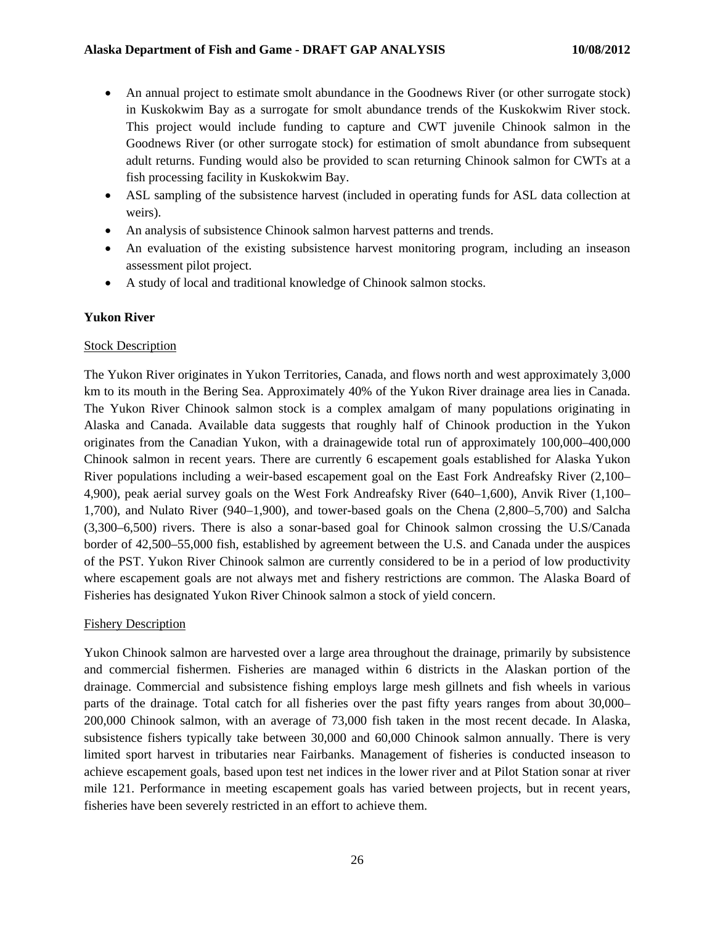- An annual project to estimate smolt abundance in the Goodnews River (or other surrogate stock) in Kuskokwim Bay as a surrogate for smolt abundance trends of the Kuskokwim River stock. This project would include funding to capture and CWT juvenile Chinook salmon in the Goodnews River (or other surrogate stock) for estimation of smolt abundance from subsequent adult returns. Funding would also be provided to scan returning Chinook salmon for CWTs at a fish processing facility in Kuskokwim Bay.
- ASL sampling of the subsistence harvest (included in operating funds for ASL data collection at weirs).
- An analysis of subsistence Chinook salmon harvest patterns and trends.
- An evaluation of the existing subsistence harvest monitoring program, including an inseason assessment pilot project.
- A study of local and traditional knowledge of Chinook salmon stocks.

## **Yukon River**

## **Stock Description**

The Yukon River originates in Yukon Territories, Canada, and flows north and west approximately 3,000 km to its mouth in the Bering Sea. Approximately 40% of the Yukon River drainage area lies in Canada. The Yukon River Chinook salmon stock is a complex amalgam of many populations originating in Alaska and Canada. Available data suggests that roughly half of Chinook production in the Yukon originates from the Canadian Yukon, with a drainagewide total run of approximately 100,000–400,000 Chinook salmon in recent years. There are currently 6 escapement goals established for Alaska Yukon River populations including a weir-based escapement goal on the East Fork Andreafsky River (2,100– 4,900), peak aerial survey goals on the West Fork Andreafsky River (640–1,600), Anvik River (1,100– 1,700), and Nulato River (940–1,900), and tower-based goals on the Chena (2,800–5,700) and Salcha (3,300–6,500) rivers. There is also a sonar-based goal for Chinook salmon crossing the U.S/Canada border of 42,500–55,000 fish, established by agreement between the U.S. and Canada under the auspices of the PST. Yukon River Chinook salmon are currently considered to be in a period of low productivity where escapement goals are not always met and fishery restrictions are common. The Alaska Board of Fisheries has designated Yukon River Chinook salmon a stock of yield concern.

## Fishery Description

Yukon Chinook salmon are harvested over a large area throughout the drainage, primarily by subsistence and commercial fishermen. Fisheries are managed within 6 districts in the Alaskan portion of the drainage. Commercial and subsistence fishing employs large mesh gillnets and fish wheels in various parts of the drainage. Total catch for all fisheries over the past fifty years ranges from about 30,000– 200,000 Chinook salmon, with an average of 73,000 fish taken in the most recent decade. In Alaska, subsistence fishers typically take between 30,000 and 60,000 Chinook salmon annually. There is very limited sport harvest in tributaries near Fairbanks. Management of fisheries is conducted inseason to achieve escapement goals, based upon test net indices in the lower river and at Pilot Station sonar at river mile 121. Performance in meeting escapement goals has varied between projects, but in recent years, fisheries have been severely restricted in an effort to achieve them.